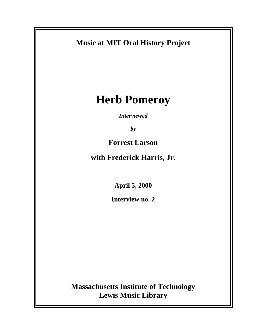

**Lewis Music Library**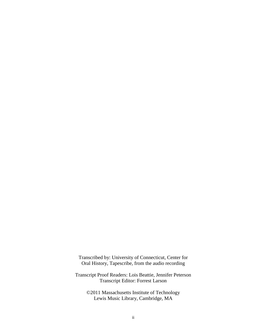Transcribed by: University of Connecticut, Center for Oral History, Tapescribe, from the audio recording

Transcript Proof Readers: Lois Beattie, Jennifer Peterson Transcript Editor: Forrest Larson

©2011 Massachusetts Institute of Technology Lewis Music Library, Cambridge, MA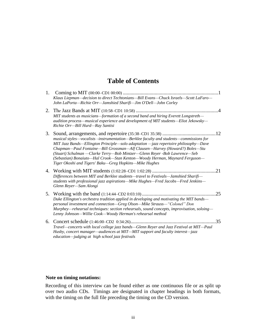# **Table of Contents**

| 1. | Klaus Liepman—decision to direct Techtonians—Bill Evans—Chuck Israels—Scott LaFaro—<br>John LaPorta-Richie Orr-Jamshied Sharifi-Jim O'Dell-John Corley                                                                                                                                                                                                                                                                                                                           |     |
|----|----------------------------------------------------------------------------------------------------------------------------------------------------------------------------------------------------------------------------------------------------------------------------------------------------------------------------------------------------------------------------------------------------------------------------------------------------------------------------------|-----|
| 2. | MIT students as musicians—formation of a second band and hiring Everett Longstreth—<br>audition process—musical experience and development of MIT students—Eliot Jekowsky—<br>Richie Orr-Bill Hurd-Ray Santisi                                                                                                                                                                                                                                                                   |     |
| 3. | musical styles—vocalists -instrumentation—Berklee faculty and students—commissions for<br>MIT Jazz Bands—Ellington Principle—solo adaptation —jazz repertoire philosophy—Dave<br>Chapman—Paul Fontaine—Bill Grossman—Alf Clausen—Harvey (Howard?) Boles—Stu<br>(Stuart) Schulman -Clarke Terry-Bob Mintzer-Glenn Reyer -Bob Lawrence-Seb<br>(Sebastian) Bonaiuto-Hal Crook-Stan Kenton-Woody Herman, Maynard Ferguson-<br>Tiger Okoshi and Tigers' Baku-Greg Hopkins-Mike Hughes | 12  |
| 4. | Differences between MIT and Berklee students—travel to Festivals—Jamshied Sharifi—<br>students with professional jazz aspirations—Mike Hughes—Fred Jacobs—Fred Jenkins—<br>Glenn Reyer-Sam Alongi                                                                                                                                                                                                                                                                                |     |
| 5. | Duke Ellington's orchestra tradition applied in developing and motivating the MIT bands—<br>personal investment and connection-Greg Olson-Mike Strauss-"Colonel" Don<br>Murphey—rehearsal techniques: section rehearsals, sound concepts, improvisation, soloing—<br>Lenny Johnson-Willie Cook-Woody Herman's rehearsal method                                                                                                                                                   | .25 |
|    | Travel—concerts with local college jazz bands—Glenn Reyer and Jazz Festival at MIT—Paul<br>Husby, concert manager—audiences at MIT—MIT support and faculty interest—jazz<br>education-judging at high school jazz festivals                                                                                                                                                                                                                                                      | .35 |

#### **Note on timing notations:**

Recording of this interview can be found either as one continuous file or as split up over two audio CDs. Timings are designated in chapter headings in both formats, with the timing on the full file preceding the timing on the CD version.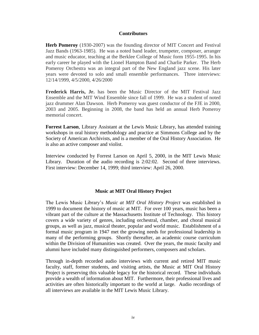#### **Contributors**

**Herb Pomeroy** (1930-2007) was the founding director of MIT Concert and Festival Jazz Bands (1963-1985). He was a noted band leader, trumpeter, composer, arranger and music educator, teaching at the Berklee College of Music form 1955-1995. In his early career he played with the Lionel Hampton Band and Charlie Parker. The Herb Pomeroy Orchestra was an integral part of the New England jazz scene. His later years were devoted to solo and small ensemble performances. Three interviews: 12/14/1999, 4/5/2000, 4/26/2000

**Frederick Harris, Jr.** has been the Music Director of the MIT Festival Jazz Ensemble and the MIT Wind Ensemble since fall of 1999. He was a student of noted jazz drummer Alan Dawson. Herb Pomeroy was guest conductor of the FJE in 2000, 2003 and 2005. Beginning in 2008, the band has held an annual Herb Pomeroy memorial concert.

**Forrest Larson**, Library Assistant at the Lewis Music Library, has attended training workshops in oral history methodology and practice at Simmons College and by the Society of American Archivists, and is a member of the Oral History Association. He is also an active composer and violist.

Interview conducted by Forrest Larson on April 5, 2000, in the MIT Lewis Music Library. Duration of the audio recording is 2:02:02. Second of three interviews. First interview: December 14, 1999; third interview: April 26, 2000.

#### **Music at MIT Oral History Project**

The Lewis Music Library's *Music at MIT Oral History Project* was established in 1999 to document the history of music at MIT. For over 100 years, music has been a vibrant part of the culture at the Massachusetts Institute of Technology. This history covers a wide variety of genres, including orchestral, chamber, and choral musical groups, as well as jazz, musical theater, popular and world music. Establishment of a formal music program in 1947 met the growing needs for professional leadership in many of the performing groups. Shortly thereafter, an academic course curriculum within the Division of Humanities was created. Over the years, the music faculty and alumni have included many distinguished performers, composers and scholars.

Through in-depth recorded audio interviews with current and retired MIT music faculty, staff, former students, and visiting artists, the Music at MIT Oral History Project is preserving this valuable legacy for the historical record. These individuals provide a wealth of information about MIT. Furthermore, their professional lives and activities are often historically important to the world at large. Audio recordings of all interviews are available in the MIT Lewis Music Library.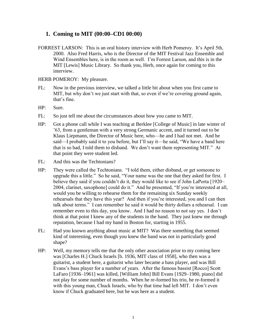# **1. Coming to MIT (00:00–CD1 00:00)**

FORREST LARSON: This is an oral history interview with Herb Pomeroy. It's April 5th, 2000. Also Fred Harris, who is the Director of the MIT Festival Jazz Ensemble and Wind Ensembles here, is in the room as well. I'm Forrest Larson, and this is in the MIT [Lewis] Music Library. So thank you, Herb, once again for coming to this interview.

#### HERB POMEROY: My pleasure.

- FL: Now in the previous interview, we talked a little bit about when you first came to MIT, but why don't we just start with that, so even if we're covering ground again, that's fine.
- HP: Sure.
- FL: So just tell me about the circumstances about how you came to MIT.
- HP: Got a phone call while I was teaching at Berklee [College of Music] in late winter of '63, from a gentleman with a very strong Germanic accent, and it turned out to be Klaus Liepmann, the Director of Music here, who—he and I had not met. And he said—I probably said it to you before, but I'll say it—he said, "We have a band here that is so bad, I told them to disband. We don't want them representing MIT." At that point they were student led.
- FL: And this was the Techtonians?
- HP: They were called the Techtonians. "I told them, either disband, or get someone to upgrade this a little." So he said, "Your name was the one that they asked for first. I believe they said if you couldn't do it, they would like to see if John LaPorta [1920– 2004, clarinet, saxophone] could do it." And he presented, "If you're interested at all, would you be willing to rehearse them for the remaining six Sunday weekly rehearsals that they have this year? And then if you're interested, you and I can then talk about terms." I can remember he said it would be thirty dollars a rehearsal. I can remember even to this day, you know. And I had no reason to not say yes. I don't think at that point I knew any of the students in the band. They just knew me through reputation, because I had my band in Boston for, starting in 1955.
- FL: Had you known anything about music at MIT? Was there something that seemed kind of interesting, even though you knew the band was not in particularly good shape?
- HP: Well, my memory tells me that the only other association prior to my coming here was [Charles H.] Chuck Israels [b. 1936, MIT class of 1958], who then was a guitarist, a student here, a guitarist who later became a bass player, and was Bill Evans's bass player for a number of years. After the famous bassist [Rocco] Scott LaFaro [1936–1961] was killed, [William John] Bill Evans [1929–1980, piano] did not play for some number of months. When he re-formed his trio, he re-formed it with this young man, Chuck Israels, who by that time had left MIT. I don't even know if Chuck graduated here, but he was here as a student.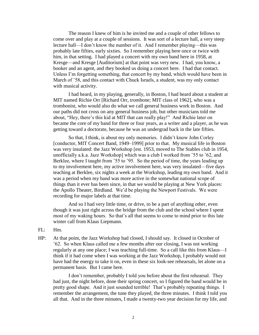The reason I knew of him is he invited me and a couple of other fellows to come over and play at a couple of sessions. It was sort of a lecture hall, a very steep lecture hall—I don't know the number of it. And I remember playing—this was probably late fifties, early sixties. So I remember playing here once or twice with him, in that setting. I had played a concert with my own band here in 1958, at Kresge—and Kresge [Auditorium] at that point was very new. I had, you know, a booker and an agent, and they booked us doing a concert here. I had that contact. Unless I'm forgetting something, that concert by my band, which would have been in March of '58, and this contact with Chuck Israels, a student, was my only contact with musical activity.

I had heard, in my playing, generally, in Boston, I had heard about a student at MIT named Richie Orr [Richard Orr, trombone; MIT class of 1962], who was a trombonist, who would also do what we call general business work in Boston. And our paths did not cross on any general business job, but other musicians told me about, "Hey, there's this kid at MIT that can really play!" And Richie later on became the core of my band for three or four years, as a writer and a player, as he was getting toward a doctorate, because he was an undergrad back in the late fifties.

So that, I think, is about my only memories. I didn't know John Corley [conductor, MIT Concert Band, 1949–1999] prior to that. My musical life in Boston was very insulated: the Jazz Workshop [est. 1953, moved to The Stables club in 1954, unofficially a.k.a. Jazz Workshop] which was a club I worked from '55 to '62, and Berklee, where I taught from '55 to '95. So the period of time, the years leading up to my involvement here, my active involvement here, was very insulated—five days teaching at Berklee, six nights a week at the Workshop, leading my own band. And it was a period when my band was more active in the somewhat national scope of things than it ever has been since, in that we would be playing at New York places: the Apollo Theater, Birdland. We'd be playing the Newport Festivals. We were recording for major labels at that time.

And so I had very little time, or drive, to be a part of anything other, even though it was just right across the bridge from the club and the school where I spent most of my waking hours. So that's all that seems to come to mind prior to this late winter call from Klaus Liepmann.

- FL: Hm.
- HP: At that point, the Jazz Workshop had closed, I should say. It closed in October of '62. So when Klaus called me a few months after our closing, I was not working regularly at any one place; I was teaching full-time. So a call like this from Klaus—I think if it had come when I was working at the Jazz Workshop, I probably would not have had the energy to take it on, even in these six look-see rehearsals, let alone on a permanent basis. But I came here.

I don't remember, probably I told you before about the first rehearsal. They had just, the night before, done their spring concert, so I figured the band would be in pretty good shape. And it just sounded terrible! That's probably repeating things. I remember the arrangement, the tune they played, the three minutes. I think I told you all that. And in the three minutes, I made a twenty-two year decision for my life, and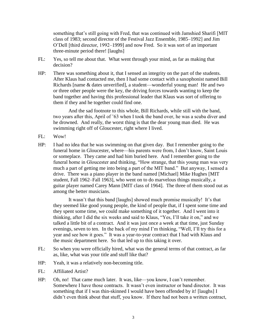something that's still going with Fred, that was continued with Jamshied Sharifi [MIT class of 1983; second director of the Festival Jazz Ensemble, 1985–1992] and Jim O'Dell [third director, 1992–1999] and now Fred. So it was sort of an important three-minute period there! [laughs]

- FL: Yes, so tell me about that. What went through your mind, as far as making that decision?
- HP: There was something about it, that I sensed an integrity on the part of the students. After Klaus had contacted me, then I had some contact with a saxophonist named Bill Richards [name & dates unverified], a student—wonderful young man! He and two or three other people were the key, the driving forces towards wanting to keep the band together and having this professional leader that Klaus was sort of offering to them if they and he together could find one.

And the sad footnote to this whole, Bill Richards, while still with the band, two years after this, April of '63 when I took the band over, he was a scuba diver and he drowned. And really, the worst thing is that the dear young man died. He was swimming right off of Gloucester, right where I lived.

- FL: Wow!
- HP: I had no idea that he was swimming on that given day. But I remember going to the funeral home in Gloucester, where—his parents were from, I don't know, Saint Louis or someplace. They came and had him buried here. And I remember going to the funeral home in Gloucester and thinking, "How strange, that this young man was very much a part of getting me into being a part of the MIT band." But anyway, I sensed a drive. There was a piano player in the band named [Michael] Mike Hughes [MIT student, Fall 1962–Fall 1963], who went on to do marvelous things musically, a guitar player named Carey Mann [MIT class of 1964]. The three of them stood out as among the better musicians.

It wasn't that this band [laughs] showed much promise musically! It's that they seemed like good young people, the kind of people that, if I spent some time and they spent some time, we could make something of it together. And I went into it thinking, after I did the six weeks and said to Klaus, "Yes, I'll take it on," and we talked a little bit of a contract. And it was just once a week at that time, just Sunday evenings, seven to ten. In the back of my mind I'm thinking, "Well, I'll try this for a year and see how it goes." It was a year-to-year contract that I had with Klaus and the music department here. So that led up to this taking it over.

- FL: So when you were officially hired, what was the general terms of that contract, as far as, like, what was your title and stuff like that?
- HP: Yeah, it was a relatively non-becoming title.
- FL: Affiliated Artist?
- HP: Oh, no! That came much later. It was, like—you know, I can't remember. Somewhere I have those contracts. It wasn't even instructor or band director. It was something that if I was thin-skinned I would have been offended by it! [laughs] I didn't even think about that stuff, you know. If there had not been a written contract,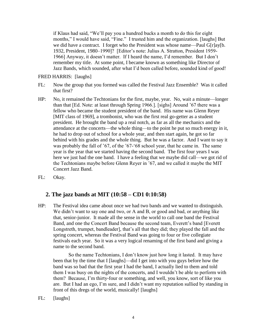if Klaus had said, "We'll pay you a hundred bucks a month to do this for eight months," I would have said, "Fine." I trusted him and the organization. [laughs] But we did have a contract. I forget who the President was whose name—Paul G[r]ay[b. 1932, President, 1980–1990]? [Editor's note: Julius A. Stratton, President 1959- 1966] Anyway, it doesn't matter. If I heard the name, I'd remember. But I don't remember my title. At some point, I became known as something like Director of Jazz Bands, which sounded, after what I'd been called before, sounded kind of good!

FRED HARRIS: [laughs]

- FL: Now the group that you formed was called the Festival Jazz Ensemble? Was it called that first?
- HP: No, it remained the Techtonians for the first, maybe, year. No, wait a minute—longer than that [Ed. Note: at least through Spring 1966.]. [sighs] Around '67 there was a fellow who became the student president of the band. His name was Glenn Reyer [MIT class of 1969], a trombonist, who was the first real go-getter as a student president. He brought the band up a real notch, as far as all the mechanics and the attendance at the concerts—the whole thing—to the point he put so much energy in it, he had to drop out of school for a whole year, and then start again, he got so far behind with his grades and the whole thing. But he was a factor. And I want to say it was probably the fall of '67, of the '67-'68 school year, that he came in. The same year is the year that we started having the second band. The first four years I was here we just had the one band. I have a feeling that we maybe did call—we got rid of the Techtonians maybe before Glenn Reyer in '67, and we called it maybe the MIT Concert Jazz Band.
- FL: Okay.

### **2. The jazz bands at MIT (10:58 – CD1 0:10:58)**

HP: The Festival idea came about once we had two bands and we wanted to distinguish. We didn't want to say one and two, or A and B, or good and bad, or anything like that, senior-junior. It made all the sense in the world to call one band the Festival Band, and one the Concert Band because the second team, Everett's band [Everett Longstreth, trumpet, bandleader], that's all that they did; they played the fall and the spring concert, whereas the Festival Band was going to four or five collegiate festivals each year. So it was a very logical renaming of the first band and giving a name to the second band.

So the name Techtonians, I don't know just how long it lasted. It may have been that by the time that I [laughs]—did I get into with you guys before how the band was so bad that the first year I had the band, I actually lied to them and told them I was busy on the nights of the concerts, and I wouldn't be able to perform with them? Because, I'm thirty-four or something, and well, you know, sort of like you are. But I had an ego, I'm sure, and I didn't want my reputation sullied by standing in front of this dregs of the world, musically! [laughs]

FL: [laughs]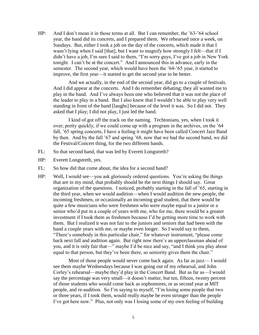HP: And I don't mean it in those terms at all. But I can remember, the '63-'64 school year, the band did its concerts, and I prepared them. We rehearsed once a week, on Sundays. But, either I took a job on the day of the concerts, which made it that I wasn't lying when I said [that], but I want to magnify how strongly I felt—that if I didn't have a job, I'm sure I said to them, "I'm sorry guys, I've got a job in New York tonight. I can't be at the concert." And I announced this in advance, early in the semester. The second year, which would have been the '64-'65 year, it started to improve, the first year—it started to get the second year to be better.

And we actually, in the end of the second year, did go to a couple of festivals. And I did appear at the concerts. And I do remember debating; they all wanted me to play in the band. And I've always been one who believed that it was not the place of the leader to play in a band. But I also knew that I wouldn't be able to play very well standing in front of the band [laughs] because of the level it was. So I did not. They asked that I play; I did not play, I just led the band.

I kind of got off the track on the naming. Techtonians, yes, when I took it over; pretty quickly, if we could come up with a program in the archives, on the '64 fall, '65 spring concerts, I have a feeling it might have been called Concert Jazz Band by then. And by the fall '67 and spring '68, now that we had the second band, we did the Festival/Concert thing, for the two different bands.

- FL: So that second band, that was led by Everett Longstreth?
- HP: Everett Longstreth, yes.
- FL: So how did that come about, the idea for a second band?
- HP: Well, I would see—you ask gloriously ordered questions. You're asking the things that are in my mind, that probably should be the next things I should say. Great organization of the questions. I noticed, probably starting in the fall of '65, starting in the third year, when we would audition—when I would audition the new people, the incoming freshmen, or occasionally an incoming grad student, that there would be quite a few musicians who were freshmen who were maybe equal to a junior or a senior who'd put in a couple of years with me, who for me, there would be a greater investment if I took them as freshmen because I'd be getting more time to work with them. But I realized it was not fair to the juniors and seniors that had been with the band a couple years with me, or maybe even longer. So I would say to them, "There's somebody in this particular chair," for whatever instrument, "please come back next fall and audition again. But right now there's an upperclassman ahead of you, and it is only fair that—" maybe I'd be nice and say, "and I think you play about equal to that person, but they've been there, so seniority gives them the chair."

Most of those people would never come back again. As far as jazz— I would see them maybe Wednesdays because I was going out of my rehearsal, and John Corley's rehearsal—maybe they'd play in the Concert Band. But as far as—I would say the percentage was very small—it doesn't matter, but ten, fifteen, twenty percent of those students who would come back as sophomores, or as second year at MIT people, and re-audition. So I'm saying to myself, "I'm losing some people that two or three years, if I took them, would really maybe be even stronger than the people I've got here now." Plus, not only was I losing some of my own feeling of building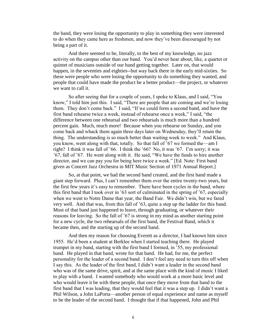the band, they were losing the opportunity to play in something they were interested to do when they came here as freshmen, and now they've been discouraged by not being a part of it.

And there seemed to be, literally, to the best of my knowledge, no jazz activity on the campus other than our band. You'd never hear about, like, a quartet or quintet of musicians outside of our band getting together. Later on, that would happen, in the seventies and eighties--but way back there in the early mid-sixties. So these were people who were losing the opportunity to do something they wanted, and people that could have made the product be a better product—the project, or whatever we want to call it.

So after seeing that for a couple of years, I spoke to Klaus, and I said, "You know," I told him just this. I said, "There are people that are coming and we're losing them. They don't come back." I said, "If we could form a second band, and have the first band rehearse twice a week, instead of rehearse once a week," I said, "the difference between one rehearsal and two rehearsals is much more than a hundred percent gain. Much, much more! Because when you rehearse on Sunday, and you come back and whack them again three days later on Wednesday, they'll retain the thing. The understanding is so much better than waiting week to week." And Klaus, you know, went along with that, totally. So that fall of '67 we formed the—am I right? I think it was fall of '66. I think the '66? No, it was '67. I'm sorry; it was '67, fall of '67. He went along with it. He said, "We have the funds to hire another director, and we can pay you for being here twice a week." [Ed. Note: First band given as Concert Jazz Orchestra in MIT Music Section of 1971 Annual Report.]

So, at that point, we had the second band created, and the first band made a giant step forward. Plus, I can't remember them over the entire twenty-two years, but the first few years it's easy to remember. There have been cycles in the band, where this first band that I took over in '63 sort of culminated in the spring of '67, especially when we went to Notre Dame that year, the Band Fair. We didn't win, but we fared very well. And that was, from this fall of '63, quite a step up the ladder for this band. Most of that band just happened to leave, through graduating, or whatever their reasons for leaving. So the fall of '67 is strong in my mind as another starting point for a new cycle, the two rehearsals of the first band, the Festival Band, which it became then, and the starting up of the second band.

And then my reason for choosing Everett as a director, I had known him since 1955. He'd been a student at Berklee when I started teaching there. He played trumpet in my band, starting with the first band I formed, in '55, my professional band. He played in that band, wrote for that band. He had, for me, the perfect personality for the leader of a second band. I don't feel any need to turn this off when I say this. As the leader of the first band, I didn't want a leader in the second band who was of the same drive, spirit, and at the same place with the kind of music I liked to play with a band. I wanted somebody who would work at a more basic level and who would leave it be with these people, that once they move from that band to the first band that I was leading, that they would feel that it was a step up. I didn't want a Phil Wilson, a John LaPorta—another person of equal experience and name as myself to be the leader of the second band. I thought that if that happened, John and Phil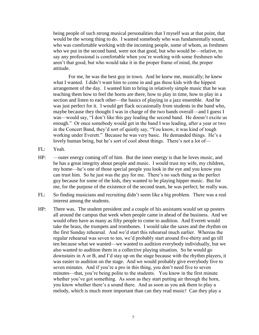being people of such strong musical personalities that I myself was at that point, that would be the wrong thing to do. I wanted somebody who was fundamentally sound, who was comfortable working with the incoming people, some of whom, as freshmen who we put in the second band, were not that good, but who would be—relative, to say any professional is comfortable when you're working with some freshmen who aren't that good, but who would take it in the proper frame of mind, the proper attitude.

For me, he was the best guy in town. And he knew me, musically; he knew what I wanted. I didn't want him to come in and gas these kids with the hippest arrangement of the day. I wanted him to bring in relatively simple music that he was teaching them how to feel the horns are there, how to play in time, how to play in a section and listen to each other—the basics of playing in a jazz ensemble. And he was just perfect for it. I would get flack occasionally from students in the band who, maybe because they thought I was in charge of the two bands overall—and I guess I was—would say, "I don't like this guy leading the second band. He doesn't excite us enough." Or once somebody would get in the band I was leading, after a year or two in the Concert Band, they'd sort of quietly say, "You know, it was kind of tough working under Everett." Because he was very basic. He demanded things. He's a lovely human being, but he's sort of cool about things. There's not a lot of—

- FL: Yeah.
- HP: —outer energy coming off of him. But the inner energy is that he loves music, and he has a great integrity about people and music. I would trust my wife, my children, my home—he's one of those special people you look in the eye and you know you can trust him. So he just was the guy for me. There's no such thing as the perfect guy because for some of the kids, they wanted to be playing hipper music. But for me, for the purpose of the existence of the second team, he was perfect; he really was.
- FL: So finding musicians and recruiting didn't seem like a big problem. There was a real interest among the students.
- HP: There was. The student president and a couple of his assistants would set up posters all around the campus that week when people came in ahead of the business. And we would often have as many as fifty people to come to audition. And Everett would take the brass, the trumpets and trombones. I would take the saxes and the rhythm on the first Sunday rehearsal. And we'd start this rehearsal much earlier. Whereas the regular rehearsal was seven to ten, we'd probably start around five-thirty and go till ten because what we wanted—we wanted to audition everybody individually, but we also wanted to audition them in a collective playing situation. So he would go downstairs in A or B, and I'd stay up on the stage because with the rhythm players, it was easier to audition on the stage. And we would probably give everybody five to seven minutes. And if you're a pro in this thing, you don't need five to seven minutes—that, you're being polite to the students. You know in the first minute whether you've got something. As soon as they start putting air through the horn, you know whether there's a sound there. And as soon as you ask them to play a melody, which is much more important than can they read music! Can they play a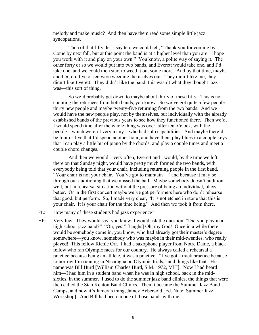melody and make music? And then have them read some simple little jazz syncopations.

Then of that fifty, let's say ten, we could tell, "Thank you for coming by. Come by next fall, but at this point the band is at a higher level than you are. I hope you work with it and play on your own." You know, a polite way of saying it. The other forty or so we would put into two bands, and Everett would take one, and I'd take one, and we could then start to weed it out some more. And by that time, maybe another, oh, five or ten were weeding themselves out. They didn't like me; they didn't like Everett. They didn't like the band; this wasn't what they thought jazz was—this sort of thing.

So we'd probably get down to maybe about thirty of these fifty. This is not counting the returnees from both bands, you know. So we've got quite a few people: thirty new people and maybe twenty-five returning from the two bands. And we would have the new people play, not by themselves, but individually with the already established bands of the previous years to see how they functioned there. Then we'd, I would spend time after the whole thing was over, after ten o'clock, with the people—which weren't very many—who had solo capabilities. And maybe there'd be four or five that I'd spend another hour, and have them play blues in a couple keys that I can play a little bit of piano by the chords, and play a couple tunes and meet a couple chord changes.

And then we would—very often, Everett and I would, by the time we left there on that Sunday night, would have pretty much formed the two bands, with everybody being told that your chair, including returning people in the first band, "Your chair is not your chair. You've got to maintain—" and because it may be through our auditioning that we missed the ball. Maybe somebody doesn't audition well, but in rehearsal situation without the pressure of being an individual, plays better. Or in the first concert maybe we've got performers here who don't rehearse that good, but perform. So, I made very clear, "It is not etched in stone that this is your chair. It is your chair for the time being." And then we took it from there.

- FL: How many of these students had jazz experience?
- HP: Very few. They would say, you know, I would ask the question, "Did you play in a high school jazz band?" "Oh, yes!" [laughs] Oh, my God! Once in a while there would be somebody come in, you know, who had already got their master's degree somewhere—you know, somebody who was maybe in their mid-twenties, who really played! This fellow Richie Orr. I had a saxophone player from Notre Dame, a black fellow who ran Olympic races for our country. He always called a rehearsal a practice because being an athlete, it was a practice. "I've got a track practice because tomorrow I'm running in Nicaragua on Olympic trials," and things like that. His name was Bill Hurd [William Charles Hurd, S.M. 1972, MIT]. Now I had heard him—I had him in a student band when he was in high school, back in the midsixties, in the summer. I used to do the summer jazz band clinics, the things that were then called the Stan Kenton Band Clinics. Then it became the Summer Jazz Band Camps, and now it's Jamey's thing, Jamey Aebersold [Ed. Note: Summer Jazz Workshop]. And Bill had been in one of those bands with me.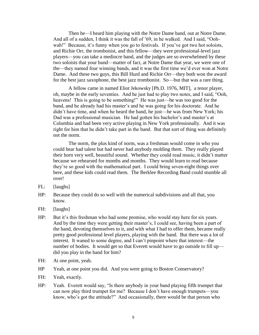Then he—I heard him playing with the Notre Dame band, out at Notre Dame. And all of a sudden, I think it was the fall of '69, in he walked. And I said, "Oohwah!" Because, it's funny when you go to festivals. If you've got two hot soloists, and Richie Orr, the trombonist, and this fellow—they were professional-level jazz players—you can take a mediocre band, and the judges are so overwhelmed by these two soloists that your band—matter of fact, at Notre Dame that year, we were one of the—they named four winning bands, and it was the first time we'd ever won at Notre Dame. And these two guys, this Bill Hurd and Richie Orr—they both won the award for the best jazz saxophone, the best jazz trombonist. So—but that was a rare thing.

A fellow came in named Eliot Jekowsky [Ph.D. 1976, MIT], a tenor player, oh, maybe in the early seventies. And he just had to play two notes, and I said, "Ooh, heavens! This is going to be something!" He was just—he was too good for the band, and he already had his master's and he was going for his doctorate. And he didn't have time, and when he heard the band, he just—he was from New York; his Dad was a professional musician. He had gotten his bachelor's and master's at Columbia and had been very active playing in New York professionally. And it was right for him that he didn't take part in the band. But that sort of thing was definitely not the norm.

The norm, the plus kind of norm, was a freshman would come in who you could hear had talent but had never had anybody molding them. They really played their horn very well, beautiful sound. Whether they could read music, it didn't matter because we rehearsed for months and months. They would learn to read because they're so good with the mathematical part. I could bring seven-eight things over here, and these kids could read them. The Berklee Recording Band could stumble all over!

- FL: [laughs]
- HP: Because they could do so well with the numerical subdivisions and all that, you know.
- FH: [laughs]
- HP: But it's this freshman who had some promise, who would stay here for six years. And by the time they were getting their master's, I could see, having been a part of the band, devoting themselves to it, and with what I had to offer them, became really pretty good professional level players, playing with the band. But there was a lot of interest. It waned to some degree, and I can't pinpoint where that interest—the number of bodies. It would get so that Everett would have to go outside to fill up did you play in the band for him?
- FH: At one point, yeah.
- HP Yeah, at one point you did. And you were going to Boston Conservatory?
- FH: Yeah, exactly.
- HP: Yeah. Everett would say, "Is there anybody in your band playing fifth trumpet that can now play third trumpet for me? Because I don't have enough trumpets—you know, who's got the attitude?" And occasionally, there would be that person who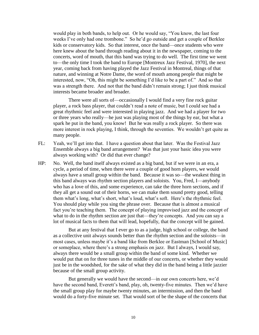would play in both bands, to help out. Or he would say, "You know, the last four weeks I've only had one trombone." So he'd go outside and get a couple of Berklee kids or conservatory kids. So that interest, once the band—once students who were here knew about the band through reading about it in the newspaper, coming to the concerts, word of mouth, that this band was trying to do well. The first time we went to—the only time I took the band to Europe [Montreux Jazz Festival, 1970], the next year, coming back from having played the Jazz Festival in Montreal, things of that nature, and winning at Notre Dame, the word of mouth among people that might be interested, now, "Oh, this might be something I'd like to be a part of." And so that was a strength there. And not that the band didn't remain strong; I just think musical interests became broader and broader.

There were all sorts of—occasionally I would find a very fine rock guitar player, a rock bass player, that couldn't read a note of music, but I could see had a great rhythmic feel and were interested in playing jazz. And we had a player for two or three years who really—he just was playing most of the things by ear, but what a spark he put in the band, you know! But he was really a rock player. So there was more interest in rock playing, I think, through the seventies. We wouldn't get quite as many people.

- FL: Yeah, we'll get into that. I have a question about that later. Was the Festival Jazz Ensemble always a big band arrangement? Was that just your basic idea you were always working with? Or did that ever change?
- HP: No. Well, the band itself always existed as a big band, but if we were in an era, a cycle, a period of time, when there were a couple of good horn players, we would always have a small group within the band. Because it was so—the weakest thing in this band always was rhythm section players and soloists. You, Fred, I—anybody who has a love of this, and some experience, can take the three horn sections, and if they all get a sound out of their horns, we can make them sound pretty good, telling them what's long, what's short, what's loud, what's soft. Here's the rhythmic feel. You should play while you sing the phrase over. Because that is almost a musical fact you're teaching them. The concept of playing improvised jazz and the concept of what to do in the rhythm section are just that—they're concepts. And you can say a lot of musical facts to them that will lead, hopefully, that the concept will be gained.

But at any festival that I ever go to as a judge, high school or college, the band as a collective unit always sounds better than the rhythm section and the soloists—in most cases, unless maybe it's a band like from Berklee or Eastman [School of Music] or someplace, where there's a strong emphasis on jazz. But I always, I would say, always there would be a small group within the band of some kind. Whether we would put that on for three tunes in the middle of our concerts, or whether they would just be in the woodshed, for the sake of what they did in the band being a little jazzier because of the small group activity.

But generally we would have the second—in our own concerts here, we'd have the second band, Everett's band, play, oh, twenty-five minutes. Then we'd have the small group play for maybe twenty minutes, an intermission, and then the band would do a forty-five minute set. That would sort of be the shape of the concerts that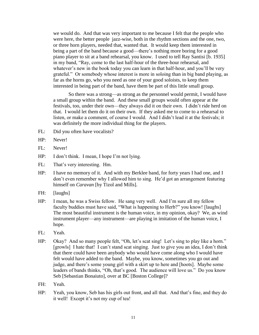we would do. And that was very important to me because I felt that the people who were here, the better people jazz-wise, both in the rhythm sections and the one, two, or three horn players, needed that, wanted that. It would keep them interested in being a part of the band because a good—there's nothing more boring for a good piano player to sit at a band rehearsal, you know. I used to tell Ray Santisi [b. 1935] in my band, "Ray, come to the last half-hour of the three-hour rehearsal, and whatever's new in the book today you can learn in that half-hour, and you'll be very grateful." Or somebody whose interest is more in soloing than in big band playing, as far as the horns go, who you need as one of your good soloists, to keep them interested in being part of the band, have them be part of this little small group.

So there was a strong—as strong as the personnel would permit, I would have a small group within the band. And these small groups would often appear at the festivals, too, under their own—they always did it on their own. I didn't ride herd on that. I would let them do it on their own. If they asked me to come to a rehearsal to listen, or make a comment, of course I would. And I didn't lead it at the festivals; it was definitely the more individual thing for the players.

- FL: Did you often have vocalists?
- HP: Never!
- FL: Never!
- HP: I don't think. I mean, I hope I'm not lying.
- FL: That's very interesting. Hm.
- HP: I have no memory of it. And with my Berklee band, for forty years I had one, and I don't even remember why I allowed him to sing. He'd got an arrangement featuring himself on *Caravan* [by Tizol and Mills].
- FH: [laughs]
- HP: I mean, he was a Swiss fellow. He sang very well. And I'm sure all my fellow faculty buddies must have said, "What is happening to Herb?" you know! [laughs] The most beautiful instrument is the human voice, in my opinion, okay? We, as wind instrument player—any instrument—are playing in imitation of the human voice, I hope.
- FL: Yeah.
- HP: Okay? And so many people felt, "Oh, let's scat sing! Let's sing to play like a horn." [growls] I hate that! I can't stand scat singing. Just to give you an idea, I don't think that there could have been anybody who would have come along who I would have felt would have added to the band. Maybe, you know, sometimes you go out and judge, and there's some young girl with a skirt up to here and [hoots]. Maybe some leaders of bands thinks, "Oh, that's good. The audience will love us." Do you know Seb [Sebastian Bonaiuto], over at BC [Boston College]?
- FH: Yeah.
- HP: Yeah, you know, Seb has his girls out front, and all that. And that's fine, and they do it well! Except it's not my cup of tea!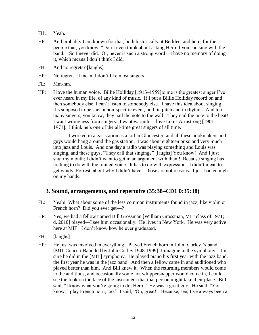- FH: Yeah.
- HP: And probably I am known for that, both historically at Berklee, and here, for the people that, you know, "Don't even think about asking Herb if you can sing with the band." So I never did. Or, never is such a strong word—I have no memory of doing it, which means I don't think I did.
- FH: And no regrets? [laughs]
- HP: No regrets. I mean, I don't like most singers.
- FL: Mm-hm.
- HP: I love the human voice. Billie Holliday [1915–1959]to me is the greatest singer I've ever heard in my life, of any kind of music. If I put a Billie Holliday record on and then somebody else, I can't listen to somebody else. I have this idea about singing, it's supposed to be such a non-specific event, both in pitch and in rhythm. And too many singers, you know, they nail the note to the wall! They nail the note to the beat! I want wrongness from singers. I want warmth. I love Louis Armstrong [1901– 1971]. I think he's one of the all-time great singers of all time.

I worked in a gas station as a kid in Gloucester, and all these bookmakers and guys would hang around the gas station. I was about eighteen or so and very much into jazz and Louis. And one day a radio was playing something and Louis was singing, and these guys, "They call that singing?" [laughs] You know! And I just shut my mouth; I didn't want to get in an argument with them! Because singing has nothing to do with the trained voice. It has to do with expression. I didn't mean to get windy, Forrest, about why I didn't have—those are not reasons. I just had enough on my hands.

### **3. Sound, arrangements, and repertoire (35:38–CD1 0:35:38)**

- FL: Yeah! What about some of the less common instruments found in jazz, like violin or French horn? Did you ever get—?
- HP: Yes, we had a fellow named Bill Grossman [William Grossman, MIT class of 1971; d. 2010] played—I see him occasionally. He lives in New York. He was very active here at MIT. I don't know how he ever graduated.
- FH: [laughs]
- HP: He just was involved in everything! Played French horn in John [Corley]'s band [MIT Concert Band led by John Corley 1948-1999]; I imagine in the symphony—I'm sure he did in the [MIT] symphony. He played piano his first year with the jazz band, the first year he was in the jazz band. And then a fellow came in and auditioned who played better than him. And Bill knew it. When the returning members would come to the auditions, and occasionally some hot whippersnapper would come in, I could see the look on the face of the instrument that that person might take their place. Bill said, "I know what you're going to do, Herb." He was a great guy. He said, "You know, I play French horn, too." I said, "Oh, great!" Because, see, I've always been a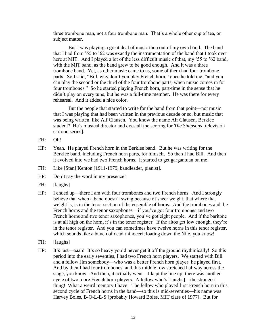three trombone man, not a four trombone man. That's a whole other cup of tea, or subject matter.

But I was playing a great deal of music then out of my own band. The band that I had from '55 to '62 was exactly the instrumentation of the band that I took over here at MIT. And I played a lot of the less difficult music of that, my '55 to '62 band, with the MIT band, as the band grew to be good enough. And it was a three trombone band. Yet, as other music came to us, some of them had four trombone parts. So I said, "Bill, why don't you play French horn," once he told me, "and you can play the second or the third of the four trombone parts, when music comes in for four trombones." So he started playing French horn, part-time in the sense that he didn't play on every tune, but he was a full-time member. He was there for every rehearsal. And it added a nice color.

But the people that started to write for the band from that point—not music that I was playing that had been written in the previous decade or so, but music that was being written, like Alf Clausen. You know the name Alf Clausen, Berklee student? He's musical director and does all the scoring for *The Simpsons* [television cartoon series].

- FH: Oh!
- HP: Yeah. He played French horn in the Berklee band. But he was writing for the Berklee band, including French horn parts, for himself. So then I had Bill. And then it evolved into we had two French horns. It started to get gargantuan on me!
- FH: Like [Stan] Kenton [1911-1979, bandleader, pianist].
- HP: Don't say the word in my presence!
- FH: [laughs]
- HP: I ended up—there I am with four trombones and two French horns. And I strongly believe that when a band doesn't swing because of sheer weight, that where that weight is, is in the tenor section of the ensemble of horns. And the trombones and the French horns and the tenor saxophones—if you've got four trombones and two French horns and two tenor saxophones, you've got eight people. And if the baritone is at all high on the horn, it's in the tenor register. If the altos get low enough, they're in the tenor register. And you can sometimes have twelve horns in this tenor register, which sounds like a bunch of dead rhinoceri floating down the Nile, you know!
- FH: [laughs]
- HP: It's just—aaah! It's so heavy you'd never get it off the ground rhythmically! So this period into the early seventies, I had two French horn players. We started with Bill and a fellow Jim somebody—who was a better French horn player; he played first. And by then I had four trombones, and this middle row stretched halfway across the stage, you know. And then, it actually went—I kept the line up; there was another cycle of two more French horn players. A fellow who's [laughs]—the strangest thing! What a weird memory I have! The fellow who played first French horn in this second cycle of French horns in the band—so this is mid-seventies—his name was Harvey Boles, B-O-L-E-S [probably Howard Boles, MIT class of 1977]. But for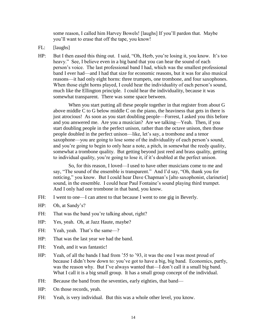some reason, I called him Harvey Bowels! [laughs] If you'll pardon that. Maybe you'll want to erase that off the tape, you know!

- FL: [laughs]
- HP: But I then eased this thing out. I said, "Oh, Herb, you're losing it, you know. It's too heavy." See, I believe even in a big band that you can hear the sound of each person's voice. The last professional band I had, which was the smallest professional band I ever had—and I had that size for economic reasons, but it was for also musical reasons—it had only eight horns: three trumpets, one trombone, and four saxophones. When those eight horns played, I could hear the individuality of each person's sound, much like the Ellington principle. I could hear the individuality, because it was somewhat transparent. There was some space between.

When you start putting all these people together in that register from about G above middle C to G below middle C on the piano, the heaviness that gets in there is just atrocious! As soon as you start doubling people—Forrest, I asked you this before and you answered me. Are you a musician? Are we talking—Yeah. Then, if you start doubling people in the perfect unison, rather than the octave unison, then those people doubled in the perfect unison—like, let's say, a trombone and a tenor saxophone—you are going to lose some of the individuality of each person's sound, and you're going to begin to only hear a note, a pitch, in somewhat the reedy quality, somewhat a trombone quality. But getting beyond just reed and brass quality, getting to individual quality, you're going to lose it, if it's doubled at the perfect unison.

So, for this reason, I loved—I used to have other musicians come to me and say, "The sound of the ensemble is transparent." And I'd say, "Oh, thank you for noticing," you know. But I could hear Dave Chapman's [alto saxophonist, clarinetist] sound, in the ensemble. I could hear Paul Fontaine's sound playing third trumpet. And I only had one trombone in that band, you know.

- FH: I went to one—I can attest to that because I went to one gig in Beverly.
- HP: Oh, at Sandy's?
- FH: That was the band you're talking about, right?
- HP: Yes, yeah. Oh, at Jazz Haute, maybe?
- FH: Yeah, yeah. That's the same-?
- HP: That was the last year we had the band.
- FH: Yeah, and it was fantastic!
- HP: Yeah, of all the bands I had from '55 to '93, it was the one I was most proud of because I didn't bow down to: you've got to have a big, big band. Economics, partly, was the reason why. But I've always wanted that—I don't call it a small big band. What I call it is a big small group. It has a small group concept of the individual.
- FH: Because the band from the seventies, early eighties, that band—
- HP: On those records, yeah.
- FH: Yeah, is very individual. But this was a whole other level, you know.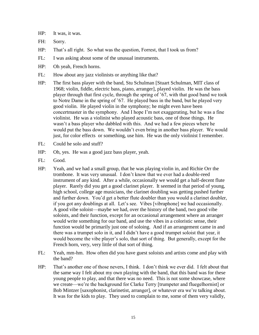HP: It was, it was.

- FH: Sorry.
- HP: That's all right. So what was the question, Forrest, that I took us from?
- FL: I was asking about some of the unusual instruments.
- HP: Oh yeah, French horns.
- FL: How about any jazz violinists or anything like that?
- HP: The first bass player with the band, Stu Schulman [Stuart Schulman, MIT class of 1968; violin, fiddle, electric bass, piano, arranger], played violin. He was the bass player through that first cycle, through the spring of '67, with that good band we took to Notre Dame in the spring of '67. He played bass in the band, but he played very good violin. He played violin in the symphony; he might even have been concertmaster in the symphony. And I hope I'm not exaggerating, but he was a fine violinist. He was a violinist who played acoustic bass, one of those things. He wasn't a bass player who dabbled with this. And we had a few pieces where he would put the bass down. We wouldn't even bring in another bass player. We would just, for color effects or something, use him. He was the only violinist I remember.
- FL: Could he solo and stuff?
- HP: Oh, yes. He was a good jazz bass player, yeah.
- FL: Good.
- HP: Yeah, and we had a small group, that he was playing violin in, and Richie Orr the trombone. It was very unusual. I don't know that we ever had a double-reed instrument of any kind. After a while, occasionally we would get a half-decent flute player. Rarely did you get a good clarinet player. It seemed in that period of young, high school, college age musicians, the clarinet doubling was getting pushed further and further down. You'd get a better flute doubler than you would a clarinet doubler, if you got any doublings at all. Let's see. Vibes [vibraphone] we had occasionally. A good vibe soloist—maybe we had, over the history of the band, two good vibe soloists, and their function, except for an occasional arrangement where an arranger would write something for our band, and use the vibes in a coloristic sense, their function would be primarily just one of soloing. And if an arrangement came in and there was a trumpet solo in it, and I didn't have a good trumpet soloist that year, it would become the vibe player's solo, that sort of thing. But generally, except for the French horn, very, very little of that sort of thing.
- FL: Yeah, mm-hm. How often did you have guest soloists and artists come and play with the band?
- HP: That's another one of those nevers, I think. I don't think we ever did. I felt about that the same way I felt about my own playing with the band, that this band was for these young people to play, and that there was no need. This is not some showcase, where we create—we're the background for Clarke Terry [trumpeter and fluegelhornist] or Bob Mintzer [saxophonist, clarinetist, arranger], or whatever era we're talking about. It was for the kids to play. They used to complain to me, some of them very validly,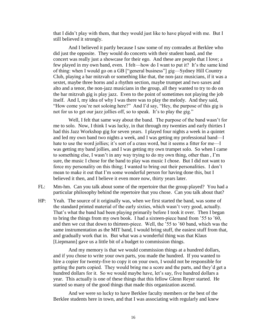that I didn't play with them, that they would just like to have played with me. But I still believed it strongly.

And I believed it partly because I saw some of my comrades at Berklee who did just the opposite. They would do concerts with their student band, and the concert was really just a showcase for their ego. And these are people that I love; a few played in my own band, even. I felt—how do I want to put it? It's the same kind of thing: when I would go on a GB ["general business"] gig—Sydney Hill Country Club, playing a bar mitzvah or something like that, the non-jazz musicians, if it was a sextet, maybe three horns and a rhythm section, maybe trumpet and two saxes and alto and a tenor, the non-jazz musicians in the group, all they wanted to try to do on the bar mitzvah gig is play jazz. Even to the point of sometimes not playing the job itself. And I, my idea of why I was there was to play the melody. And they said, "How come you're not soloing here?" And I'd say, "Hey, the purpose of this gig is not for us to get our jazz jollies off, so to speak. It's to play the gig."

Well, I felt that same way about the band. The purpose of the band wasn't for me to solo. Now, I think I was lucky, in that through my twenties and early thirties I had this Jazz Workshop gig for seven years. I played four nights a week in a quintet and led my own band two nights a week, and I was getting my professional band—I hate to use the word jollies; it's sort of a crass word, but it seems a fitter for me—I was getting my band jollies, and I was getting my own trumpet solo. So when I came to something else, I wasn't in any way trying to do my own thing, other than , I'm sure, the music I chose for the band to play was music I chose. But I did not want to force my personality on this thing; I wanted to bring out their personalities. I don't mean to make it out that I'm some wonderful person for having done this, but I believed it then, and I believe it even more now, thirty years later.

- FL: Mm-hm. Can you talk about some of the repertoire that the group played? You had a particular philosophy behind the repertoire that you chose. Can you talk about that?
- HP: Yeah. The source of it originally was, when we first started the band, was some of the standard printed material of the early sixties, which wasn't very good, actually. That's what the band had been playing primarily before I took it over. Then I began to bring the things from my own book. I had a sixteen-piece band from '55 to '60, and then we cut that down to thirteen-piece. Well, the '55 to '60 band, which was the same instrumentation as the MIT band, I would bring stuff, the easiest stuff from that, and gradually work that in. But what was a wonderful thing was that Klaus [Liepmann] gave us a little bit of a budget to commission things.

And my memory is that we would commission things at a hundred dollars, and if you chose to write your own parts, you made the hundred. If you wanted to hire a copier for twenty-five to copy it on your own, I would not be responsible for getting the parts copied. They would bring me a score and the parts, and they'd get a hundred dollars for it. So we would maybe have, let's say, five hundred dollars a year. This actually is one of these things that this fellow Glenn Reyer started. He started so many of the good things that made this organization ascend.

And we were so lucky to have Berklee faculty members or the best of the Berklee students here in town, and that I was associating with regularly and knew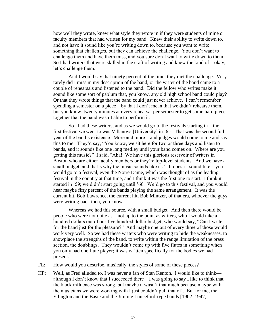how well they wrote, knew what style they wrote in if they were students of mine or faculty members that had written for my band. Knew their ability to write down to, and not have it sound like you're writing down to, because you want to write something that challenges, but they can achieve the challenge. You don't want to challenge them and have them miss, and you sure don't want to write down to them. So I had writers that were skilled in the craft of writing and knew the kind of—okay, let's challenge them.

And I would say that ninety percent of the time, they met the challenge. Very rarely did I miss in my description of the band, or the writer of the band came to a couple of rehearsals and listened to the band. Did the fellow who writes make it sound like some sort of pablum that, you know, any old high school band could play? Or that they wrote things that the band could just never achieve. I can't remember spending a semester on a piece—by that I don't mean that we didn't rehearse them, but you know, twenty minutes at every rehearsal per semester to get some hard piece together that the band wasn't able to perform it.

So I had these writers, and as we would go to the festivals starting in—the first festival we went to was Villanova [University] in '65. That was the second full year of the band's existence. More and more—and judges would come to me and say this to me. They'd say, "You know, we sit here for two or three days and listen to bands, and it sounds like one long medley until your band comes on. Where are you getting this music?" I said, "Aha! We have this glorious reservoir of writers in Boston who are either faculty members or they're top-level students. And we have a small budget, and that's why the music sounds like us." It doesn't sound like—you would go to a festival, even the Notre Dame, which was thought of as the leading festival in the country at that time, and I think it was the first one to start. I think it started in '59; we didn't start going until '66. We'd go to this festival, and you would hear maybe fifty percent of the bands playing the same arrangement. It was the current hit, Bob Lawrence, the current hit, Bob Mintzer, of that era, whoever the guys were writing back then, you know.

Whereas we had this source, with a small budget. And then there would be people who were not quite as—not up to the point as writers, who I would take a hundred dollars out of our five hundred dollar budget, who would say, "Can I write for the band just for the pleasure?" And maybe one out of every three of those would work very well. So we had these writers who were writing to hide the weaknesses, to showplace the strengths of the band, to write within the range limitation of the brass section, the doublings. They wouldn't come up with five flutes in something when you only had one flute player; it was written specifically for the bodies we had present.

- FL: How would you describe, musically, the styles of some of these pieces?
- HP: Well, as Fred alluded to, I was never a fan of Stan Kenton. I would like to think although I don't know that I succeeded there—I was going to say I like to think that the black influence was strong, but maybe it wasn't that much because maybe with the musicians we were working with I just couldn't pull that off. But for me, the Ellington and the Basie and the Jimmie Lunceford-type bands [1902–1947,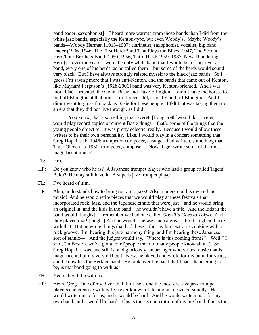bandleader, saxophonist]—I heard more warmth from those bands than I did from the white jazz bands, especially the Kenton-type, but even Woody's. Maybe Woody's bands—Woody Herman [1913–1987; clarinetist, saxophonist, vocalist, big band leader (1936–1946, The First Herd/Band That Plays the Blues; 1947, The Second Herd/Four Brothers Band; 1950–1956, Third Herd; 1959–1987, New Thundering Herd)]—over the years—were the only white band that I would hear—not every band, every one of his herds, as he called them—but some of the herds would sound very black. But I have always strongly related myself to the black jazz bands. So I guess I'm saying more that I was anti-Kenton, and the bands that came out of Kenton, like Maynard Ferguson's [1928-2006] band was very Kenton-oriented. And I was more black-oriented, the Count Basie and Duke Ellington. I didn't have the horses to pull off Ellington at that point—or, I never did, to really pull off Ellington. And I didn't want to go as far back as Basie for these people. I felt that was taking them to an era that they did not live through, as I did.

You know, that's something that Everett [Longstreth]would do. Everett would play record copies of current Basie things—that's some of the things that the young people object to. It was pretty eclectic, really. Because I would allow these writers to be their own personality. Like, I would play in a concert something that Greg Hopkins [b. 1946; trumpeter, composer, arranger] had written, something that Tiger Okoshi [b. 1950; trumpeter, composer]. Now, Tiger wrote some of the most magnificent music!

- FL: Hm.
- HP: Do you know who he is? A Japanese trumpet player who had a group called Tigers' Baku? He may still have it. A superb jazz trumpet player!
- FL: I've heard of him.
- HP: Also, understands how to bring rock into jazz! Also, understood his own ethnic music! And he would write pieces that we would play at these festivals that incorporated rock, jazz, and the Japanese ethnic that were just—and he would bring an original in, and the kids in the band—he wouldn't have a title. And the kids in the band would [laughs]—I remember we had one called *Godzilla Goes to Tokyo*. And they played that! [laughs] And he would—he was such a great—he'd laugh and joke with that. But he wrote things that had these—the rhythm section's cooking with a rock groove. I'm hearing this jazz harmony thing, and I'm hearing these Japanese sort of ethnic—! And the judges would say, "Where is this coming from?" "Well," I said, "in Boston, we've got a lot of people that not many people know about." So Greg Hopkins was, and still is, and gloriously, an arranger who writes music that is magnificent, but it's very difficult. Now, he played and wrote for my band for years, and he now has the Berklee band. He took over the band that I had. Is he going to be, is that band going to with us?
- FH: Yeah, they'll be with us.
- HP: Yeah, Greg. One of my favorite, I think he's one the most creative jazz trumpet players and creative writers I've ever known of, let along known personally. He would write music for us, and it would be hard. And he would write music for my own band, and it would be hard. This is the second edition of my big band; this is the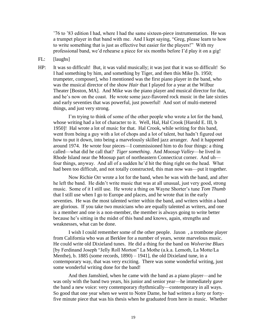'76 to '83 edition I had, where I had the same sixteen-piece instrumentation. He was a trumpet player in that band with me. And I kept saying, "Greg, please learn to how to write something that is just as effective but easier for the players!" With my professional band, we'd rehearse a piece for six months before I'd play it on a gig!

- FL: [laughs]
- HP: It was so difficult! But, it was valid musically; it was just that it was so difficult! So I had something by him, and something by Tiger, and then this Mike [b. 1950; trumpeter, composer], who I mentioned was the first piano player in the band, who was the musical director of the show *Hair* that I played for a year at the Wilbur Theater [Boston, MA]. And Mike was the piano player and musical director for that, and he's now on the coast. He wrote some jazz-flavored rock music in the late sixties and early seventies that was powerful, just powerful! And sort of multi-metered things, and just very strong.

I'm trying to think of some of the other people who wrote a lot for the band, whose writing had a lot of character to it. Well, Hal, Hal Crook [Harold E. III, b 1950]! Hal wrote a lot of music for that. Hal Crook, while writing for this band, went from being a guy with a lot of chops and a lot of talent, but hadn't figured out how to put it down, into being a marvelously skilled jazz arranger. And it happened around 1974. He wrote four pieces—I commissioned him to do four things: a thing called—what did he call that? *Tiger something*. And *Moosup Valley*—he lived in Rhode Island near the Moosup part of northeastern Connecticut corner. And uh four things, anyway. And all of a sudden he'd hit the thing right on the head. What had been too difficult, and not totally constructed, this man now was—put it together.

Now Richie Orr wrote a lot for the band, when he was with the band, and after he left the band. He didn't write music that was at all unusual, just very good, strong music. Some of it I still use. He wrote a thing on Wayne Shorter's tune *Tom Thumb* that I still use when I go to Europe and places, and he wrote that in the early seventies. He was the most talented writer within the band, and writers within a band are glorious. If you take two musicians who are equally talented as writers, and one is a member and one is a non-member, the member is always going to write better because he's sitting in the midst of this band and knows, again, strengths and weaknesses, what can be done.

I wish I could remember some of the other people. Jaxon , a trombone player from California who was at Berklee for a number of years, wrote marvelous music. He could write old Dixieland tunes. He did a thing for the band on *Wolverine Blues*  [by Ferdinand Joseph "Jelly Roll Morton" La Mothe (a.k.a. Lemoth, La Motte/La Menthe), b. 1885 (some records, 1890) – 1941], the old Dixieland tune, in a contemporary way, that was very exciting. There was some wonderful writing, just some wonderful writing done for the band!

And then Jamshied, when he came with the band as a piano player—and he was only with the band two years, his junior and senior year—he immediately gave the band a new voice: very contemporary rhythmically—contemporary in all ways. So good that one year when we went to Notre Dame, he had written a forty or fortyfive minute piece that was his thesis when he graduated from here in music. Whether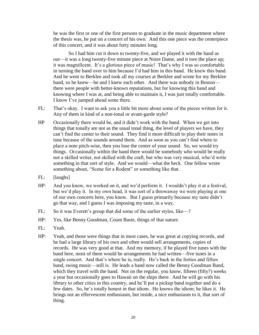he was the first or one of the first persons to graduate in the music department where the thesis was, he put on a concert of his own. And this one piece was the centerpiece of this concert, and it was about forty minutes long.

So I had him cut it down to twenty-five, and we played it with the band as our—it was a long twenty-five minute piece at Notre Dame, and it tore the place up; it was magnificent. It's a glorious piece of music! That's why I was so comfortable in turning the band over to him because I'd had him in this band. He knew this band. And he went to Berklee and took all my courses at Berklee and wrote for my Berklee band, so he knew—he and I knew each other. And there was nobody in Boston there were people with better-known reputations, but for knowing this band and knowing where I was at, and being able to maintain it, I was just totally comfortable. I know I've jumped ahead some there.

- FL: That's okay. I want to ask you a little bit more about some of the pieces written for it. Any of them in kind of a non-tonal or avant-garde style?
- HP Occasionally there would be, and it didn't work with the band. When we get into things that tonally are not as the usual tonal thing, the level of players we have, they can't find the center to their sound. They find it more difficult to play their notes in tune because of the sounds around them. And as soon as you can't find where to place a note pitch-wise, then you lose the center of your sound. So, we would try things. Occasionally within the band there would be somebody who would be really not a skilled writer, not skilled with the craft, but who was very musical, who'd write something in that sort of style. And we would—what the heck. One fellow wrote something about, "Scene for a Rodent" or something like that.
- FL: [laughs]
- HP: And you know, we worked on it, and we'd perform it. I wouldn't play it at a festival, but we'd play it. In my own head, it was sort of a throwaway we were playing at one of our own concerts here, you know. But I guess primarily because my taste didn't go that way, and I guess I was imposing my taste, in a way.
- FL: So it was Everett's group that did some of the earlier styles, like—?
- HP: Yes, like Benny Goodman, Count Basie, things of that nature.
- FL: Yeah.
- HP: Yeah, and those were things that in most cases, he was great at copying records, and he had a large library of his own and often would sell arrangements, copies of records. He was very good at that. And my memory, if he played five tunes with the band here, most of them would be arrangements he had written—five tunes in a single concert. And that's where he is, really. He's back in the forties and fifties band, swing music—still is. He leads a band now called the Benny Goodman Band, which they travel with the band. Not on the regular, you know, fifteen (fifty?) weeks a year but occasionally goes to Hawaii on the ships there. And he will go with his library to other cities in this country, and he'll put a pickup band together and do a few dates. So, he's totally honest in that idiom. He knows the idiom; he likes it. He brings not an effervescent enthusiasm, but inside, a nice enthusiasm to it, that sort of thing.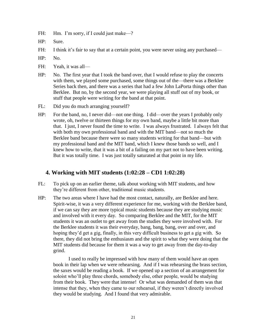- FH: Hm. I'm sorry, if I could just make—?
- HP: Sure.
- FH: I think it's fair to say that at a certain point, you were never using any purchased—
- HP: No.
- FH: Yeah, it was all—
- HP: No. The first year that I took the band over, that I would refuse to play the concerts with them, we played some purchased, some things out of the—there was a Berklee Series back then, and there was a series that had a few John LaPorta things other than Berklee. But no, by the second year, we were playing all stuff out of my book, or stuff that people were writing for the band at that point.
- FL: Did you do much arranging yourself?
- HP: For the band, no, I never did—not one thing. I did—over the years I probably only wrote, oh, twelve or thirteen things for my own band, maybe a little bit more than that. I just, I never found the time to write. I was always frustrated. I always felt that with both my own professional band and with the MIT band—not so much the Berklee band because there were so many students writing for that band—but with my professional band and the MIT band, which I knew those bands so well, and I knew how to write, that it was a bit of a failing on my part not to have been writing. But it was totally time. I was just totally saturated at that point in my life.

### **4. Working with MIT students (1:02:28 – CD1 1:02:28)**

- FL: To pick up on an earlier theme, talk about working with MIT students, and how they're different from other, traditional music students.
- HP: The two areas where I have had the most contact, naturally, are Berklee and here. Spirit-wise, it was a very different experience for me, working with the Berklee band, if we can say they are more typical music students because they are studying music and involved with it every day. So comparing Berklee and the MIT, for the MIT students it was an outlet to get away from the studies they were involved with. For the Berklee students it was their everyday, bang, bang, bang, over and over, and hoping they'd get a gig, finally, in this very difficult business to get a gig with. So there, they did not bring the enthusiasm and the spirit to what they were doing that the MIT students did because for them it was a way to get away from the day-to-day grind.

I used to really be impressed with how many of them would have an open book in their lap when we were rehearsing. And if I was rehearsing the brass section, the saxes would be reading a book. If we opened up a section of an arrangement for soloist who'll play three chords, somebody else, other people, would be studying from their book. They were that intense! Or what was demanded of them was that intense that they, when they came to our rehearsal, if they weren't directly involved they would be studying. And I found that very admirable.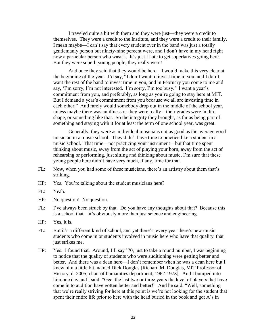I traveled quite a bit with them and they were just—they were a credit to themselves. They were a credit to the Institute, and they were a credit to their family. I mean maybe—I can't say that every student ever in the band was just a totally gentlemanly person but ninety-nine percent were, and I don't have in my head right now a particular person who wasn't. It's just I hate to get superlatives going here. But they were superb young people, they really were!

And once they said that they would be here—I would make this very clear at the beginning of the year. I'd say, "I don't want to invest time in you, and I don't want the rest of the band to invest time in you, and in February you come to me and say, 'I'm sorry, I'm not interested. I'm sorry, I'm too busy.' I want a year's commitment from you, and preferably, as long as you're going to stay here at MIT. But I demand a year's commitment from you because we all are investing time in each other." And rarely would somebody drop out in the middle of the school year, unless maybe there was an illness or they were really—their grades were in dire shape, or something like that. So the integrity they brought, as far as being part of something and staying with it for at least the term of one school year, was great.

Generally, they were as individual musicians not as good as the average good musician in a music school. They didn't have time to practice like a student in a music school. That time—not practicing your instrument—but that time spent thinking about music, away from the act of playing your horn, away from the act of rehearsing or performing, just sitting and thinking about music, I'm sure that these young people here didn't have very much, if any, time for that.

- FL: Now, when you had some of these musicians, there's an artistry about them that's striking.
- HP: Yes. You're talking about the student musicians here?
- FL: Yeah.
- HP: No question! No question.
- FL: I've always been struck by that. Do you have any thoughts about that? Because this is a school that—it's obviously more than just science and engineering.
- HP: Yes, it is.
- FL: But it's a different kind of school, and yet there's, every year there's new music students who come in or students involved in music here who have that quality, that just strikes me.
- HP: Yes. I found that. Around, I'll say '70, just to take a round number, I was beginning to notice that the quality of students who were auditioning were getting better and better. And there was a dean here—I don't remember when he was a dean here but I knew him a little bit, named Dick Douglas [Richard M. Douglas, MIT Professor of History, d. 2005; chair of humanities department, 1962-1973]. And I bumped into him one day and I said, "Gee, the last two or three years the level of players that have come in to audition have gotten better and better!" And he said, "Well, something that we're really striving for here at this point is we're not looking for the student that spent their entire life prior to here with the head buried in the book and got A's in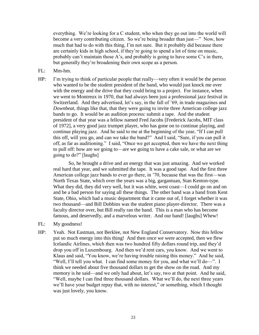everything. We're looking for a C student, who when they go out into the world will become a very contributing citizen. So we're being broader than just—" Now, how much that had to do with this thing, I'm not sure. But it probably did because there are certainly kids in high school, if they're going to spend a lot of time on music, probably can't maintain those A's, and probably is going to have some C's in there, but generally they're broadening their own scope as a person.

- FL: Mm-hm.
- HP: I'm trying to think of particular people that really—very often it would be the person who wanted to be the student president of the band, who would just knock me over with the energy and the drive that they could bring to a project. For instance, when we went to Montreux in 1970, that had always been just a professional jazz festival in Switzerland. And they advertised, let's say, in the fall of '69, in trade magazines and *Downbeat*, things like that, that they were going to invite three American college jazz bands to go. It would be an audition process: submit a tape. And the student president of that year was a fellow named Fred Jacobs [Frederick Jacobs, MIT class of 1972], a very good jazz trumpet player, who has gone on to continue playing, and continue playing jazz. And he said to me at the beginning of the year, "If I can pull this off, will you go, and can we take the band?" And I said, "Sure, if you can pull it off, as far as auditioning." I said, "Once we get accepted, then we have the next thing to pull off: how are we going to—are we going to have a cake sale, or what are we going to do?" [laughs]

So, he brought a drive and an energy that was just amazing. And we worked real hard that year, and we submitted the tape. It was a good tape. And the first three American college jazz bands to ever go there, in '70, because that was the first—was North Texas State, which over the years was a big, gargantuan, Stan Kenton-type. What they did, they did very well, but it was white, west coast—I could go on and on and be a bad person for saying all these things. The other band was a band from Kent State, Ohio, which had a music department that it came out of, I forget whether it was two thousand—and Bill Dobbins was the student piano player-director. There was a faculty director over, but Bill really ran the band. This is a man who has become famous, and deservedly, and a marvelous writer. And our band! [laughs] Whew!

- FL: My goodness!
- HP: Yeah. Not Eastman, not Berklee, not New England Conservatory. Now this fellow put so much energy into this thing! And then once we were accepted, then we flew Icelandic Airlines, which then was two hundred fifty dollars round trip, and they'd drop you off in Luxembourg. And then we'd rent cars, you know. And we went to Klaus and said, "You know, we're having trouble raising this money." And he said, "Well, I'll tell you what. I can find some money for you, and what we'll do-". I think we needed about five thousand dollars to get the show on the road. And my memory is he said—and we only had about, let's say, two at that point. And he said, ―Well, maybe I can find three thousand dollars. What we'll do, the next three years we'll have your budget repay that, with no interest," or something, which I thought was just lovely, you know.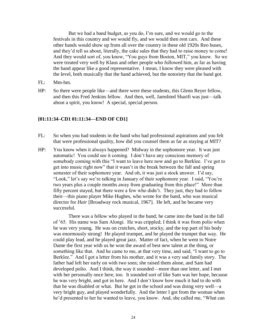But we had a band budget, as you do, I'm sure, and we would go to the festivals in this country and we would fly, and we would then rent cars. And these other bands would show up from all over the country in these old 1920s Reo buses, and they'd tell us about, literally, the cake sales that they had to raise money to come! And they would sort of, you know, "You guys from Boston, MIT," you know. So we were treated very well by Klaus and other people who followed him, as far as having the band appear like a good representative. I mean, I know they were pleased with the level, both musically that the band achieved, but the notoriety that the band got.

- FL: Mm-hm.
- HP: So there were people like—and there were these students, this Glenn Reyer fellow, and then this Fred Jenkins fellow. And then, well, Jamshied Sharifi was just—talk about a spirit, you know! A special, special person.

#### **[01:11:34–CD1 01:11:34—END OF CD1]**

- FL: So when you had students in the band who had professional aspirations and you felt that were professional quality, how did you counsel them as far as staying at MIT?
- HP: You know when it always happened? Midway in the sophomore year. It was just automatic! You could see it coming. I don't have any conscious memory of somebody coming with this "I want to leave here now and go to Berklee. I've got to get into music right now" that it wasn't in the break between the fall and spring semester of their sophomore year. And oh, it was just a stock answer. I'd say, "Look," let's say we're talking in January of their sophomore year. I said, "You're two years plus a couple months away from graduating from this place!" More than fifty percent stayed, but there were a few who didn't. They just, they had to follow their—this piano player Mike Hughes, who wrote for the band, who was musical director for *Hair* [Broadway rock musical, 1967]. He left, and he became very successful.

There was a fellow who played in the band; he came into the band in the fall of '65. His name was Sam Alongi. He was crippled; I think it was from polio when he was very young. He was on crutches, short, stocky, and the top part of his body was enormously strong! He played trumpet, and he played the trumpet that way. He could play lead, and he played great jazz. Matter of fact, when he went to Notre Dame the first year with us he won the award of best new talent at the thing, or something like that. And he came to me, at that very time, and said, "I want to go to Berklee." And I got a letter from his mother, and it was a very sad family story. The father had left her early on with two sons; she raised them alone, and Sam had developed polio. And I think, the way it sounded—more than one letter, and I met with her personally once here, too. It sounded sort of like Sam was her hope, because he was very bright, and got in here. And I don't know how much it had to do with that he was disabled or what. But he got in the school and was doing very well—a very bright guy, and played wonderfully. And the letter I got from the woman when he'd presented to her he wanted to leave, you know. And, she called me, "What can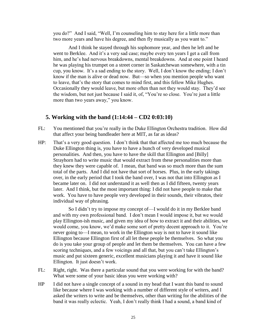you do?" And I said, "Well, I'm counseling him to stay here for a little more than two more years and have his degree, and then fly musically as you want to."

And I think he stayed through his sophomore year, and then he left and he went to Berklee. And it's a very sad case; maybe every ten years I get a call from him, and he's had nervous breakdowns, mental breakdowns. And at one point I heard he was playing his trumpet on a street corner in Saskatchewan somewhere, with a tin cup, you know. It's a sad ending to the story. Well, I don't know the ending; I don't know if the man is alive or dead now. But—so when you mention people who want to leave, that's the story that comes to mind first, and this fellow Mike Hughes. Occasionally they would leave, but more often than not they would stay. They'd see the wisdom, but not just because I said it, of, "You're so close. You're just a little more than two years away," you know.

# **5. Working with the band (1:14:44 – CD2 0:03:10)**

- FL: You mentioned that you're really in the Duke Ellington Orchestra tradition. How did that affect your being bandleader here at MIT, as far as ideas?
- HP: That's a very good question. I don't think that that affected me too much because the Duke Ellington thing is, you have to have a bunch of very developed musical personalities. And then, you have to have the skill that Ellington and [Billy] Strayhorn had to write music that would extract from these personalities more than they knew they were capable of. I mean, that band was so much more than the sum total of the parts. And I did not have that sort of horses. Plus, in the early takings over, in the early period that I took the band over, I was not that into Ellington as I became later on. I did not understand it as well then as I did fifteen, twenty years later. And I think, but the most important thing: I did not have people to make that work. You have to have people very developed in their sounds, their vibratos, their individual way of phrasing.

So I didn't try to impose my concept of—I would do it in my Berklee band and with my own professional band. I don't mean I would impose it, but we would play Ellington-ish music, and given my idea of how to extract it and their abilities, we would come, you know, we'd make some sort of pretty decent approach to it. You're never going to—I mean, to work in the Ellington way is not to have it sound like Ellington because Ellington first of all let these people be themselves. So what you do is you take your group of people and let them be themselves. You can have a few scoring techniques, and a few voicings and all that, but you can't take Ellington's music and put sixteen generic, excellent musicians playing it and have it sound like Ellington. It just doesn't work.

- FL: Right, right. Was there a particular sound that you were working for with the band? What were some of your basic ideas you were working with?
- HP I did not have a single concept of a sound in my head that I want this band to sound like because where I was working with a number of different style of writers, and I asked the writers to write and be themselves, other than writing for the abilities of the band it was really eclectic. Yeah, I don't really think I had a sound, a band kind of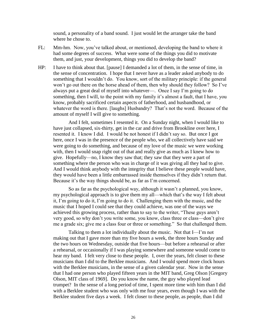sound, a personality of a band sound. I just would let the arranger take the band where he chose to.

- FL: Mm-hm. Now, you've talked about, or mentioned, developing the band to where it had some degrees of success. What were some of the things you did to motivate them, and just, your development, things you did to develop the band?
- HP: I have to think about that. [pause] I demanded a lot of them, in the sense of time, in the sense of concentration. I hope that I never have as a leader asked anybody to do something that I wouldn't do. You know, sort of the military principle: if the general won't go out there on the horse ahead of them, then why should they follow? So I've always put a great deal of myself into whatever—. Once I say I'm going to do something, then I will, to the point with my family it's almost a fault, that I have, you know, probably sacrificed certain aspects of fatherhood, and husbandhood, or whatever the word is there. [laughs] Husbandry? That's not the word. Because of the amount of myself I will give to something.

And I felt, sometimes I resented it. On a Sunday night, when I would like to have just collapsed, six-thirty, get in the car and drive from Brookline over here, I resented it. I know I did. I would be not honest if I didn't say so. But once I got here, once I was in the presence of the people who, we all collectively have said we were going to do something, and because of my love of the music we were working with, then I would snap right out of that and really give as much as I knew how to give. Hopefully—no, I know they saw that; they saw that they were a part of something where the person who was in charge of it was giving all they had to give. And I would think anybody with the integrity that I believe these people would have, they would have been a little embarrassed inside themselves if they didn't return that. Because it's the way things should be, as far as I'm concerned.

So as far as the psychological way, although it wasn't a planned, you know, my psychological approach is to give them my all—which that's the way I felt about it, I'm going to do it, I'm going to do it. Challenging them with the music, and the music that I hoped I could see that they could achieve, was one of the ways we achieved this growing process, rather than to say to the writer, "These guys aren't very good, so why don't you write some, you know, class three or class—don't give me a grade six; give me a class four or three or something." So that challenged them.

Talking to them a lot individually about the music. Not that I—I'm not making out that I gave more than my five hours a week, the three hours Sunday and the two hours on Wednesday, outside that five hours—but before a rehearsal or after a rehearsal, or occasionally if I was playing somewhere and someone would come to hear my band. I felt very close to these people. I, over the years, felt closer to these musicians than I did to the Berklee musicians. And I would spend more clock hours with the Berklee musicians, in the sense of a given calendar year. Now in the sense that I had one person who played fifteen years in the MIT band, Greg Olson [Gregory Olson, MIT class of 1969]. Do you know the name, the guy who played lead trumpet? In the sense of a long period of time, I spent more time with him than I did with a Berklee student who was only with me four years, even though I was with the Berklee student five days a week. I felt closer to these people, as people, than I did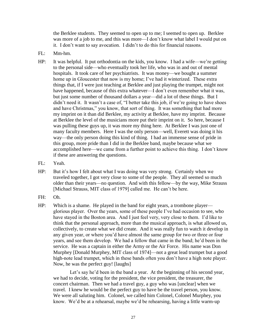the Berklee students. They seemed to open up to me; I seemed to open up. Berklee was more of a job to me, and this was more—I don't know what label I would put on it. I don't want to say avocation. I didn't to do this for financial reasons.

- FL: Mm-hm.
- HP: It was helpful. It put orthodontia on the kids, you know. I had a wife—we're getting to the personal side—who eventually took her life, who was in and out of mental hospitals. It took care of her psychiatrists. It was money—we bought a summer home up in Gloucester that now is my home; I've had it winterized. These extra things that, if I were just teaching at Berklee and just playing the trumpet, might not have happened, because of this extra whatever—I don't even remember what it was, but just some number of thousand dollars a year—did a lot of these things. But I didn't need it. It wasn't a case of, "I better take this job, if we're going to have shoes and have Christmas," you know, that sort of thing. It was something that had more my imprint on it than did Berklee, my activity at Berklee, have my imprint. Because at Berklee the level of the musicians more put their imprint on it. So here, because I was pulling these guys up, it was more my thing here. At Berklee I was just one of many faculty members. Here I was the only person—well, Everett was doing it his way—the only person doing this kind of thing. I had an immense sense of pride in this group, more pride than I did in the Berklee band, maybe because what we accomplished here—we came from a further point to achieve this thing. I don't know if these are answering the questions.
- FL: Yeah.
- HP: But it's how I felt about what I was doing was very strong. Certainly when we traveled together, I got very close to some of the people. They all seemed so much older than their years—no question. And with this fellow—by the way, Mike Strauss [Michael Strauss, MIT class of 1979] called me. He can't be here.
- FH: Oh.
- HP: Which is a shame. He played in the band for eight years, a trombone player glorious player. Over the years, some of these people I've had occasion to see, who have stayed in the Boston area. And I just feel very, very close to them. I'd like to think that the personal approach, more than the musical approach, is what allowed us, collectively, to create what we did create. And it was really fun to watch it develop in any given year, or where you'd have almost the same group for two or three or four years, and see them develop. We had a fellow that came in the band; he'd been in the service. He was a captain in either the Army or the Air Force. His name was Don Murphey [Donald Murphey, MIT class of 1974]—not a great lead trumpet but a good high-note lead trumpet, which in these bands often you don't have a high note player. Now, he was the perfect guy! [laughs]

Let's say he'd been in the band a year. At the beginning of his second year, we had to decide, voting for the president, the vice president, the treasurer, the concert chairman. Then we had a travel guy, a guy who was [unclear] when we travel. I knew he would be the perfect guy to have be the travel person, you know. We were all saluting him. Colonel, we called him Colonel, Colonel Murphey, you know. We'd be at a rehearsal, maybe we'd be rehearsing, having a little warm-up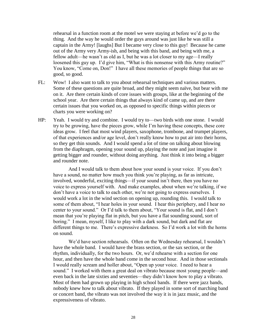rehearsal in a function room at the motel we were staying at before we'd go to the thing. And the way he would order the guys around was just like he was still a captain in the Army! [laughs] But I became very close to this guy! Because he came out of the Army very Army-ish, and being with this band, and being with me, a fellow adult—he wasn't as old as I, but he was a lot closer to my age—I really loosened this guy up. I'd give him, "What is this nonsense with this Army routine?" You know, "Come on, Don!" I have all these memories of people things that are so good, so good.

- FL: Wow! I also want to talk to you about rehearsal techniques and various matters. Some of these questions are quite broad, and they might seem naïve, but bear with me on it. Are there certain kinds of core issues with groups, like at the beginning of the school year. Are there certain things that always kind of came up, and are there certain issues that you worked on, as opposed to specific things within pieces or charts you were working on?
- HP: Yeah. I would try and combine. I would try to—two birds with one stone. I would try to be growing, have the pieces grow, while I'm having these concepts, these core ideas grow. I feel that most wind players, saxophone, trombone, and trumpet players, of that experiences and/or age level, don't really know how to put air into their horns, so they get thin sounds. And I would spend a lot of time on talking about blowing from the diaphragm, opening your sound up, playing the note and just imagine it getting bigger and rounder, without doing anything. Just think it into being a bigger and rounder note.

And I would talk to them about how your sound is your voice. If you don't have a sound, no matter how much you think you're playing, as far as intricate, involved, wonderful, exciting things—if your sound isn't there, then you have no voice to express yourself with. And make examples, about when we're talking, if we don't have a voice to talk to each other, we're not going to express ourselves. I would work a lot in the wind section on opening up, rounding this. I would talk to some of them about, "I hear holes in your sound. I hear this periphery, and I hear no center to your sound." Or I'd talk to them about, "Your sound is flat, and I don't mean that you're playing flat in pitch, but you have a flat sounding sound, sort of boring." I mean, myself, I like to play with a dark sound, but dark and flat are different things to me. There's expressive darkness. So I'd work a lot with the horns on sound.

We'd have section rehearsals. Often on the Wednesday rehearsal, I wouldn't have the whole band. I would have the brass section, or the sax section, or the rhythm, individually, for the two hours. Or, we'd rehearse with a section for one hour, and then have the whole band come in the second hour. And in those sectionals I would really scream and holler about, "Open up your voice. I need to hear a sound." I worked with them a great deal on vibrato because most young people—and even back in the late sixties and seventies—they didn't know how to play a vibrato. Most of them had grown up playing in high school bands. If there were jazz bands, nobody knew how to talk about vibrato. If they played in some sort of marching band or concert band, the vibrato was not involved the way it is in jazz music, and the expressiveness of vibrato.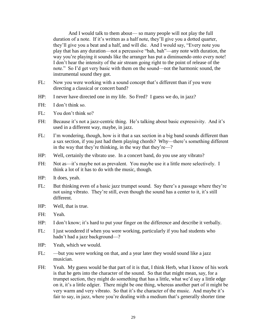And I would talk to them about— so many people will not play the full duration of a note. If it's written as a half note, they'll give you a dotted quarter, they'll give you a beat and a half, and will die. And I would say, "Every note you play that has any duration—not a percussive "bah, bah"—any note with duration, the way you're playing it sounds like the arranger has put a diminuendo onto every note! I don't hear the intensity of the air stream going right to the point of release of the note." So I'd get very basic with them on the sound—not the harmonic sound, the instrumental sound they got.

- FL: Now you were working with a sound concept that's different than if you were directing a classical or concert band?
- HP: I never have directed one in my life. So Fred? I guess we do, in jazz?
- FH: I don't think so.
- FL: You don't think so?
- FH: Because it's not a jazz-centric thing. He's talking about basic expressivity. And it's used in a different way, maybe, in jazz.
- FL: I'm wondering, though, how is it that a sax section in a big band sounds different than a sax section, if you just had them playing chords? Why—there's something different in the way that they're thinking, in the way that they're—?
- HP: Well, certainly the vibrato use. In a concert band, do you use any vibrato?
- FH: Not as—it's maybe not as prevalent. You maybe use it a little more selectively. I think a lot of it has to do with the music, though.
- HP: It does, yeah.
- FL: But thinking even of a basic jazz trumpet sound. Say there's a passage where they're not using vibrato. They're still, even though the sound has a center to it, it's still different.
- HP: Well, that is true.
- FH: Yeah.
- HP: I don't know; it's hard to put your finger on the difference and describe it verbally.
- FL: I just wondered if when you were working, particularly if you had students who hadn't had a jazz background—?
- HP: Yeah, which we would.
- FL: —but you were working on that, and a year later they would sound like a jazz musician.
- FH: Yeah. My guess would be that part of it is that, I think Herb, what I know of his work is that he gets into the character of the sound. So that that might mean, say, for a trumpet section, they might do something that has a little, what we'd say a little edge on it, it's a little edgier. There might be one thing, whereas another part of it might be very warm and very vibrato. So that it's the character of the music. And maybe it's fair to say, in jazz, where you're dealing with a medium that's generally shorter time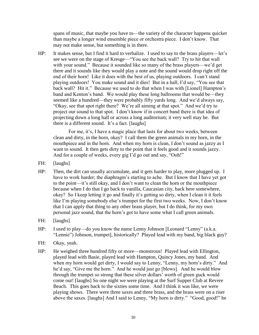spans of music, that maybe you have to—the variety of the character happens quicker than maybe a longer wind ensemble piece or orchestra piece. I don't know. That may not make sense, but something is in there.

HP: It makes sense, but I find it hard to verbalize. I used to say to the brass players—let's see we were on the stage of Kresge—"You see the back wall? Try to hit that wall with your sound." Because it sounded like so many of the brass players—we'd get there and it sounds like they would play a note and the sound would drop right off the end of their horn! Like it does with the best of us, playing outdoors. I can't stand playing outdoors! You make sound and it dies! But in a hall, I'd say, "You see that back wall? Hit it." Because we used to do that when I was with [Lionel] Hampton's band and Kenton's band. We would play these long ballrooms that would be—they seemed like a hundred—they were probably fifty yards long. And we'd always say, "Okay, see that spot right there? We're all aiming at that spot." And we'd try to project our sound to that spot. I don't know if in concert band there is that idea of projecting down a long hall or across a long auditorium; it very well may be. But there is a different sound. It's a fact. [laughs]

For me, it's, I have a magic place that lasts for about two weeks, between clean and dirty, in the horn, okay? I call them the green animals in my horn, in the mouthpiece and in the horn. And when my horn is clean, I don't sound as jazzy as I want to sound. It then gets dirty to the point that it feels good and it sounds jazzy. And for a couple of weeks, every gig I'd go out and say, "Ooh!"

- FH: [laughs]
- HP: Then, the dirt can usually accumulate, and it gets harder to play, more plugged up. I have to work harder; the diaphragm's starting to ache. But I know that I have yet got to the point—it's still okay, and I don't want to clean the horn or the mouthpiece because when I do that I go back to vanilla, Caucasian city, back here somewhere, okay? So I keep letting it go and finally it's getting so dirty, when I clean it it feels like I'm playing somebody else's trumpet for the first two weeks. Now, I don't know that I can apply that thing to any other brass player, but I do think, for my own personal jazz sound, that the horn's got to have some what I call green animals.
- FH: [laughs]
- HP: I used to play—do you know the name Lenny Johnson [Leonard "Lenny" (a.k.a. "Lennie") Johnson, trumpet], historically? Played lead with my band, big black guy?
- FH: Okay, yeah.
- HP: He weighed three hundred fifty or more—monstrous! Played lead with Ellington, played lead with Basie, played lead with Hampton, Quincy Jones, my band. And when my horn would get dirty, I would say to Lenny, "Lenny, my horn's dirty." And he'd say, "Give me the horn." And he would just go [blows]. And he would blow through the trumpet so strong that these silver dollars' worth of green guck would come out! [laughs] So one night we were playing at the Surf Supper Club at Revere Beach. This goes back to the sixties some time. And I think it was like, we were playing shows. There were three saxes and three brass, and the brass were on a riser above the saxes. [laughs] And I said to Lenny, "My horn is dirty." "Good, good!" he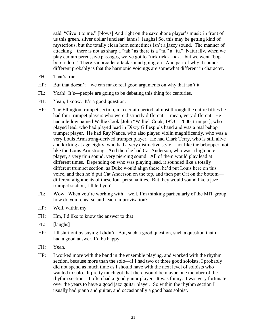said, "Give it to me." [blows] And right on the saxophone player's music in front of us this green, silver dollar [unclear] lands! [laughs] So, this may be getting kind of mysterious, but the totally clean horn sometimes isn't a jazzy sound. The manner of attacking—there is not as sharp a "tah" as there is a "tu," a "tu." Naturally, when we play certain percussive passages, we've got to "tick tick-a-tick," but we went "bop" bop-a-dop." There's a broader attack sound going on. And part of why it sounds different probably is that the harmonic voicings are somewhat different in character.

- FH: That's true.
- HP: But that doesn't—we can make real good arguments on why that isn't it.
- FL: Yeah! It's—people are going to be debating this thing for centuries.
- FH: Yeah, I know. It's a good question.
- HP: The Ellington trumpet section, in a certain period, almost through the entire fifties he had four trumpet players who were distinctly different. I mean, very different. He had a fellow named Willie Cook [John "Willie" Cook, 1923 – 2000, trumpet], who played lead, who had played lead in Dizzy Gillespie's band and was a real bebop trumpet player. He had Ray Nance, who also played violin magnificently, who was a very Louis Armstrong-derived trumpet player. He had Clark Terry, who is still alive and kicking at age eighty, who had a very distinctive style—not like the bebopper, not like the Louis Armstrong. And then he had Cat Anderson, who was a high note player, a very thin sound, very piercing sound. All of them would play lead at different times. Depending on who was playing lead, it sounded like a totally different trumpet section, as Duke would align these, he'd put Louis here on this voice, and then he'd put Cat Anderson on the top, and then put Cat on the bottom different alignments of these four personalities. But they would sound like a jazz trumpet section, I'll tell you!
- FL: Wow. When you're working with—well, I'm thinking particularly of the MIT group, how do you rehearse and teach improvisation?
- HP: Well, within my—
- FH: Hm, I'd like to know the answer to that!
- FL: [laughs]
- HP: I'll start out by saying I didn't. But, such a good question, such a question that if I had a good answer, I'd be happy.
- FH: Yeah.
- HP: I worked more with the band in the ensemble playing, and worked with the rhythm section, because more than the solo—if I had two or three good soloists, I probably did not spend as much time as I should have with the next level of soloists who wanted to solo. It pretty much got that there would be maybe one member of the rhythm section—I often had a good guitar player. It was funny. I was very fortunate over the years to have a good jazz guitar player. So within the rhythm section I usually had piano and guitar, and occasionally a good bass soloist.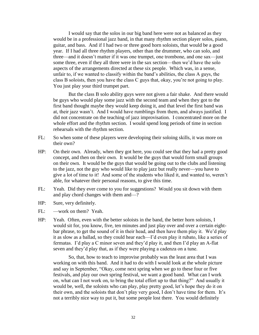I would say that the solos in our big band here were not as balanced as they would be in a professional jazz band, in that many rhythm section player solos, piano, guitar, and bass. And if I had two or three good horn soloists, that would be a good year. If I had all three rhythm players, other than the drummer, who can solo, and three—and it doesn't matter if it was one trumpet, one trombone, and one sax—just some three, even if they all three were in the sax section—then we'd have the solo aspects of the arrangements directed at these six people. Which was, in a sense, unfair to, if we wanted to classify within the band's abilities, the class A guys, the class B soloists, then you have the class C guys that, okay, you're not going to play. You just play your third trumpet part.

But the class B solo ability guys were not given a fair shake. And there would be guys who would play some jazz with the second team and when they got to the first band thought maybe they would keep doing it, and that level the first band was at, their jazz wasn't. And I would have rumblings from them, and always justified. I did not concentrate on the teaching of jazz improvisation. I concentrated more on the whole effort and the rhythm section. I would spend long periods of time in section rehearsals with the rhythm section.

- FL: So when some of these players were developing their soloing skills, it was more on their own?
- HP: On their own. Already, when they got here, you could see that they had a pretty good concept, and then on their own. It would be the guys that would form small groups on their own. It would be the guys that would be going out to the clubs and listening to the jazz, not the guy who would like to play jazz but really never—you have to give a lot of time to it! And some of the students who liked it, and wanted to, weren't able, for whatever their personal reasons, to give this time.
- FL: Yeah. Did they ever come to you for suggestions? Would you sit down with them and play chord changes with them and—?
- HP: Sure, very definitely.
- FL: —work on them? Yeah.
- HP: Yeah. Often, even with the better soloists in the band, the better horn soloists, I would sit for, you know, five, ten minutes and just play over and over a certain eightbar phrase, to get the sound of it in their head, and then have them play it. We'd play it as slow as a ballad, so they could hear each—I'd even play it rubato, like a series of fermatas. I'd play a C minor seven and they'd play it, and then I'd play an A-flat seven and they'd play that, as if they were playing a cadenza on a tune.

So, that, how to teach to improvise probably was the least area that I was working on with this band. And it had to do with I would look at the whole picture and say in September, "Okay, come next spring when we go to these four or five festivals, and play our own spring festival, we want a good band. What can I work on, what can I not work on, to bring the total effort up to that thing?" And usually it would be, well, the soloists who can play, play pretty good, let's hope they do it on their own, and the soloists that don't play very good, I don't have time for them. It's not a terribly nice way to put it, but some people lost there. You would definitely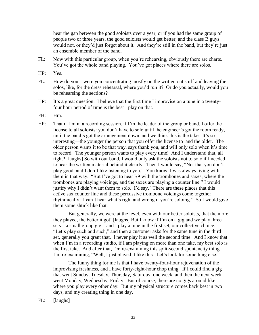hear the gap between the good soloists over a year, or if you had the same group of people two or three years, the good soloists would get better, and the class B guys would not, or they'd just forget about it. And they're still in the band, but they're just an ensemble member of the band.

- FL: Now with this particular group, when you're rehearsing, obviously there are charts. You've got the whole band playing. You've got places where there are solos.
- HP: Yes.
- FL: How do you—were you concentrating mostly on the written out stuff and leaving the solos, like, for the dress rehearsal, where you'd run it? Or do you actually, would you be rehearsing the sections?
- HP: It's a great question. I believe that the first time I improvise on a tune in a twentyfour hour period of time is the best I play on that.
- FH: Hm.
- HP: That if I'm in a recording session, if I'm the leader of the group or band, I offer the license to all soloists: you don't have to solo until the engineer's got the room ready, until the band's got the arrangement down, and we think this is the take. It's so interesting—the younger the person that you offer the license to and the older. The older person wants it to be that way, says thank you, and will only solo when it's time to record. The younger person wants to play every time! And I understand that, all right? [laughs] So with our band, I would only ask the soloists not to solo if I needed to hear the written material behind it clearly. Then I would say, "Not that you don't play good, and I don't like listening to you.‖ You know, I was always jiving with them in that way. "But I've got to hear B9 with the trombones and saxes, where the trombones are playing voicings, and the saxes are playing a counter line." I would justify why I didn't want them to solo. I'd say, "There are these places that this active sax counter line and these percussive trombone voicings come together rhythmically. I can't hear what's right and wrong if you're soloing." So I would give them some shtick like that.

But generally, we were at the level, even with our better soloists, that the more they played, the better it got! [laughs] But I know if I'm on a gig and we play three sets—a small group gig—and I play a tune in the first set, our collective choice: "Let's play such and such," and then a customer asks for the same tune in the third set, generally you grant that. I never play it as well the second time. And I know that when I'm in a recording studio, if I am playing on more than one take, my best solo is the first take. And after that, I'm re-examining this split-second spontaneity thing. I'm re-examining, "Well, I just played it like this. Let's look for something else."

The funny thing for me is that I have twenty-four-hour rejuvenation of the improvising freshness, and I have forty-eight-hour chop thing. If I could find a gig that went Sunday, Tuesday, Thursday, Saturday, one week, and then the next week went Monday, Wednesday, Friday! But of course, there are no gigs around like where you play every other day. But my physical structure comes back best in two days, and my creating thing in one day.

FL: [laughs]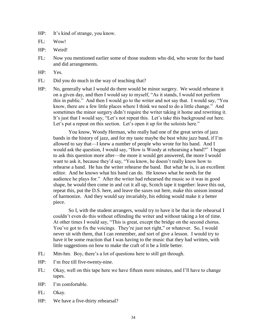HP: It's kind of strange, you know.

FL: Wow!

- HP: Weird!
- FL: Now you mentioned earlier some of those students who did, who wrote for the band and did arrangements.
- HP: Yes.
- FL: Did you do much in the way of teaching that?
- HP: No, generally what I would do there would be minor surgery. We would rehearse it on a given day, and then I would say to myself, "As it stands, I would not perform this in public." And then I would go to the writer and not say that. I would say, "You know, there are a few little places where I think we need to do a little change." And sometimes the minor surgery didn't require the writer taking it home and rewriting it. It's just that I would say, "Let's not repeat this. Let's take this background out here. Let's put a repeat on this section. Let's open it up for the soloists here."

You know, Woody Herman, who really had one of the great series of jazz bands in the history of jazz, and for my taste maybe the best white jazz band, if I'm allowed to say that—I knew a number of people who wrote for his band. And I would ask the question, I would say, "How is Woody at rehearsing a band?" I began to ask this question more after—the more it would get answered, the more I would want to ask it, because they'd say, "You know, he doesn't really know how to rehearse a band. He has the writer rehearse the band. But what he is, is an excellent editor. And he knows what his band can do. He knows what he needs for the audience he plays for." After the writer had rehearsed the music so it was in good shape, he would then come in and cut it all up, Scotch tape it together: leave this out, repeat this, put the D.S. here, and leave the saxes out here, make this unison instead of harmonize. And they would say invariably, his editing would make it a better piece.

So I, with the student arrangers, would try to have it be that in the rehearsal I couldn't even do this without offending the writer and without taking a lot of time. At other times I would say, "This is great, except the bridge on the second chorus. You've got to fix the voicings. They're just not right," or whatever. So, I would never sit with them, that I can remember, and sort of give a lesson. I would try to have it be some reaction that I was having to the music that they had written, with little suggestions on how to make the craft of it be a little better.

- FL: Mm-hm. Boy, there's a lot of questions here to still get through.
- HP: I'm free till five-twenty-nine.
- FL: Okay, well on this tape here we have fifteen more minutes, and I'll have to change tapes.
- HP: I'm comfortable.
- FL: Okay.
- HP: We have a five-thirty rehearsal?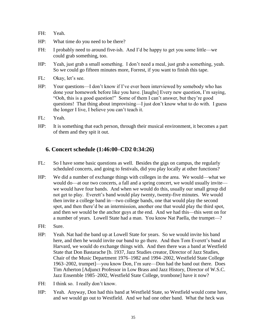- FH: Yeah.
- HP: What time do you need to be there?
- FH: I probably need to around five-ish. And I'd be happy to get you some little—we could grab something, too.
- HP: Yeah, just grab a small something. I don't need a meal, just grab a something, yeah. So we could go fifteen minutes more, Forrest, if you want to finish this tape.
- FL: Okay, let's see.
- HP: Your questions—I don't know if I've ever been interviewed by somebody who has done your homework before like you have. [laughs] Every new question, I'm saying, ―Ooh, this is a good question!‖ Some of them I can't answer, but they're good questions! That thing about improvising—I just don't know what to do with. I guess the longer I live, I believe you can't teach it.
- FL: Yeah.
- HP: It is something that each person, through their musical environment, it becomes a part of them and they spit it out.

## **6. Concert schedule (1:46:00–CD2 0:34:26)**

- FL: So I have some basic questions as well. Besides the gigs on campus, the regularly scheduled concerts, and going to festivals, did you play locally at other functions?
- HP: We did a number of exchange things with colleges in the area. We would—what we would do—at our two concerts, a fall and a spring concert, we would usually invite we would have four bands. And when we would do this, usually our small group did not get to play. Everett's band would play twenty, twenty-five minutes. We would then invite a college band in—two college bands, one that would play the second spot, and then there'd be an intermission, another one that would play the third spot, and then we would be the anchor guys at the end. And we had this—this went on for a number of years. Lowell State had a man. You know Nat Paella, the trumpet—?
- FH: Sure.
- HP: Yeah. Nat had the band up at Lowell State for years. So we would invite his band here, and then he would invite our band to go there. And then Tom Everett's band at Harvard, we would do exchange things with. And then there was a band at Westfield State that Don Bastarache [b. 1937, Jazz Studies creator, Director of Jazz Studies, Chair of the Music Department 1976–1982 and 1994–2002, Westfield State College 1963–2002, trumpet]—you know Don, I'm sure—Don had the band out there. Does Tim Atherton [Adjunct Professor in Low Brass and Jazz History, Director of W.S.C. Jazz Ensemble 1985–2002, Westfield State College, trombone] have it now?
- FH: I think so. I really don't know.
- HP: Yeah. Anyway, Don had this band at Westfield State, so Westfield would come here, and we would go out to Westfield. And we had one other band. What the heck was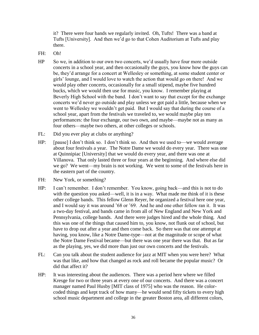it? There were four bands we regularly invited. Oh, Tufts! There was a band at Tufts [University]. And then we'd go to that Cohen Auditorium at Tufts and play there.

- FH: Oh!
- HP So we, in addition to our own two concerts, we'd usually have four more outside concerts in a school year, and then occasionally the guys, you know how the guys can be, they'd arrange for a concert at Wellesley or something, at some student center or girls' lounge, and I would love to watch the action that would go on there! And we would play other concerts, occasionally for a small stipend, maybe five hundred bucks, which we would then use for music, you know. I remember playing at Beverly High School with the band. I don't want to say that except for the exchange concerts we'd never go outside and play unless we got paid a little, because when we went to Wellesley we wouldn't get paid. But I would say that during the course of a school year, apart from the festivals we traveled to, we would maybe play ten performances: the four exchange, our two own, and maybe—maybe not as many as four others—maybe two others, at other colleges or schools.
- FL: Did you ever play at clubs or anything?
- HP: [pause] I don't think so. I don't think so. And then we used to—we would average about four festivals a year. The Notre Dame we would do every year. There was one at Quinnipiac [University] that we would do every year, and there was one at Villanova. That only lasted three or four years at the beginning. And where else did we go? We went—my brain is not working. We went to some of the festivals here in the eastern part of the country.
- FH: New York, or something?
- HP: I can't remember. I don't remember. You know, going back—and this is not to do with the question you asked—well, it is in a way. What made me think of it is these other college bands. This fellow Glenn Reyer, he organized a festival here one year, and I would say it was around '68 or '69. And he and one other fellow ran it. It was a two-day festival, and bands came in from all of New England and New York and Pennsylvania, college bands. And there were judges hired and the whole thing. And this was one of the things that caused him to, you know, not flunk out of school, but have to drop out after a year and then come back. So there was that one attempt at having, you know, like a Notre Dame-type—not at the magnitude or scope of what the Notre Dame Festival became—but there was one year there was that. But as far as the playing, yes, we did more than just our own concerts and the festivals.
- FL: Can you talk about the student audience for jazz at MIT when you were here? What was that like, and how that changed as rock and roll became the popular music? Or did that affect it?
- HP: It was interesting about the audiences. There was a period here where we filled Kresge for two or three years at every one of our concerts. And there was a concert manager named Paul Husby [MIT class of 1975] who was the reason. He colorcoded things and kept track of how many—he would send fifty tickets to every high school music department and college in the greater Boston area, all different colors,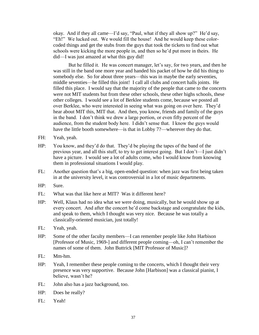okay. And if they all came—I'd say, "Paul, what if they all show up?" He'd say, ―Eh!‖ We lucked out. We would fill the house! And he would keep these colorcoded things and get the stubs from the guys that took the tickets to find out what schools were kicking the more people in, and then so he'd put more in theirs. He did—I was just amazed at what this guy did!

But he filled it. He was concert manager, let's say, for two years, and then he was still in the band one more year and handed his packet of how he did his thing to somebody else. So for about three years—this was in maybe the early seventies, middle seventies—he filled this joint! I call all clubs and concert halls joints. He filled this place. I would say that the majority of the people that came to the concerts were not MIT students but from these other schools, these other highs schools, these other colleges. I would see a lot of Berklee students come, because we posted all over Berklee, who were interested in seeing what was going on over here. They'd hear about MIT this, MIT that. And then, you know, friends and family of the guys in the band. I don't think we drew a large portion, or even fifty percent of the audience, from the student body here. I didn't sense that. I know the guys would have the little booth somewhere—is that in Lobby 7?—wherever they do that.

- FH: Yeah, yeah.
- HP: You know, and they'd do that. They'd be playing the tapes of the band of the previous year, and all this stuff, to try to get interest going. But I don't—I just didn't have a picture. I would see a lot of adults come, who I would know from knowing them in professional situations I would play.
- FL: Another question that's a big, open-ended question: when jazz was first being taken in at the university level, it was controversial in a lot of music departments.
- HP: Sure.
- FL: What was that like here at MIT? Was it different here?
- HP: Well, Klaus had no idea what we were doing, musically, but he would show up at every concert. And after the concert he'd come backstage and congratulate the kids, and speak to them, which I thought was very nice. Because he was totally a classically-oriented musician, just totally!
- FL: Yeah, yeah.
- HP: Some of the other faculty members—I can remember people like John Harbison [Professor of Music, 1969-] and different people coming—oh, I can't remember the names of some of them. John Buttrick [MIT Professor of Music]?
- FL: Mm-hm.
- HP: Yeah, I remember these people coming to the concerts, which I thought their very presence was very supportive. Because John [Harbison] was a classical pianist, I believe, wasn't he?
- FL: John also has a jazz background, too.
- HP: Does he really?
- FL: Yeah!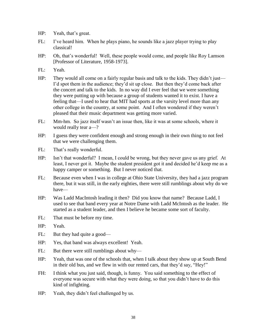- HP: Yeah, that's great.
- FL: I've heard him. When he plays piano, he sounds like a jazz player trying to play classical!
- HP: Oh, that's wonderful! Well, these people would come, and people like Roy Lamson [Professor of Literature, 1958-1973].
- FL: Yeah.
- HP: They would all come on a fairly regular basis and talk to the kids. They didn't just— I'd spot them in the audience; they'd sit up close. But then they'd come back after the concert and talk to the kids. In no way did I ever feel that we were something they were putting up with because a group of students wanted it to exist. I have a feeling that—I used to hear that MIT had sports at the varsity level more than any other college in the country, at some point. And I often wondered if they weren't pleased that their music department was getting more varied.
- FL: Mm-hm. So jazz itself wasn't an issue then, like it was at some schools, where it would really tear a—?
- HP: I guess they were confident enough and strong enough in their own thing to not feel that we were challenging them.
- FL: That's really wonderful.
- HP: Isn't that wonderful? I mean, I could be wrong, but they never gave us any grief. At least, I never got it. Maybe the student president got it and decided he'd keep me as a happy camper or something. But I never noticed that.
- FL: Because even when I was in college at Ohio State University, they had a jazz program there, but it was still, in the early eighties, there were still rumblings about why do we have—
- HP: Was Ladd MacIntosh leading it then? Did you know that name? Because Ladd, I used to see that band every year at Notre Dame with Ladd McIntosh as the leader. He started as a student leader, and then I believe he became some sort of faculty.
- FL: That must be before my time.
- HP: Yeah.
- FL: But they had quite a good—
- HP: Yes, that band was always excellent! Yeah.
- FL: But there were still rumblings about why—
- HP: Yeah, that was one of the schools that, when I talk about they show up at South Bend in their old bus, and we flew in with our rented cars, that they'd say, "Hey!"
- FH: I think what you just said, though, is funny. You said something to the effect of everyone was secure with what they were doing, so that you didn't have to do this kind of infighting.
- HP: Yeah, they didn't feel challenged by us.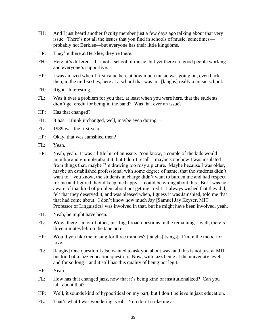- FH: And I just heard another faculty member just a few days ago talking about that very issue. There's not all the issues that you find in schools of music, sometimes probably not Berklee—but everyone has their little kingdoms.
- HP: They're there at Berklee; they're there.
- FH: Here, it's different. It's not a school of music, but yet there are good people working and everyone's supportive.
- HP: I was amazed when I first came here at how much music was going on, even back then, in the mid-sixties, here at a school that was not [laughs] really a music school.
- FH: Right. Interesting.
- FL: Was it ever a problem for you that, at least when you were here, that the students didn't get credit for being in the band? Was that ever an issue?
- HP: Has that changed?
- FH: It has. I think it changed, well, maybe even during—
- FL: 1989 was the first year.
- HP: Okay, that was Jamshied then?
- FL: Yeah.
- HP: Yeah, yeah. It was a little bit of an issue. You know, a couple of the kids would mumble and grumble about it, but I don't recall—maybe somehow I was insulated from things that, maybe I'm drawing too rosy a picture. Maybe because I was older, maybe an established professional with some degree of name, that the students didn't want to—you know, the students in charge didn't want to burden me and had respect for me and figured they'd keep me happy. I could be wrong about this. But I was not aware of that kind of problem about not getting credit. I always wished that they did, felt that they deserved it, and was pleased when, I guess it was Jamshied, told me that that had come about. I don't know how much Jay [Samuel Jay Keyser, MIT Professor of Linguistics] was involved in that, but he might have been involved, yeah.
- FH: Yeah, he might have been.
- FL: Wow, there's a lot of other, just big, broad questions in the remaining—well, there's three minutes left on the tape here.
- HP: Would you like me to sing for three minutes? [laughs] [sings] "I'm in the mood for  $love$ "
- FL: [laughs] One question I also wanted to ask you about was, and this is not just at MIT, but kind of a jazz education question. Now, with jazz being at the university level, and for so long—and it still has this quality of being not legit.
- HP: Yeah.
- FL: How has that changed jazz, now that it's being kind of institutionalized? Can you talk about that?
- HP: Well, it sounds kind of hypocritical on my part, but I don't believe in jazz education.
- FL: That's what I was wondering, yeah. You don't strike me as—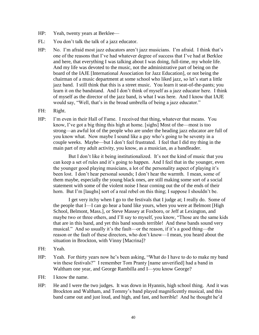- HP: Yeah, twenty years at Berklee—
- FL: You don't talk the talk of a jazz educator.
- HP: No. I'm afraid most jazz educators aren't jazz musicians. I'm afraid. I think that's one of the reasons that I've had whatever degree of success that I've had at Berklee and here, that everything I was talking about I was doing, full-time, my whole life. And my life was devoted to the music, not the administrative part of being on the board of the IAJE [International Association for Jazz Education], or not being the chairman of a music department at some school who liked jazz, so let's start a little jazz band. I still think that this is a street music. You learn it seat-of-the-pants; you learn it on the bandstand. And I don't think of myself as a jazz educator here. I think of myself as the director of the jazz band, is what I was here. And I know that IAJE would say, "Well, that's in the broad umbrella of being a jazz educator."
- FH: Right.
- HP: I'm even in their Hall of Fame. I received that thing, whatever that means. You know, I've got a big thing this high at home. [sighs] Most of the—most is too strong—an awful lot of the people who are under the heading jazz educator are full of you know what. Now maybe I sound like a guy who's going to be seventy in a couple weeks. Maybe—but I don't feel frustrated. I feel that I did my thing in the main part of my adult activity, you know, as a musician, as a bandleader.

But I don't like it being institutionalized. It's not the kind of music that you can keep a set of rules and it's going to happen. And I feel that in the younger, even the younger good playing musicians, a lot of the personality aspect of playing it's been lost. I don't hear personal sounds; I don't hear the warmth. I mean, some of them maybe, especially the young black ones, are still making some sort of a social statement with some of the violent noise I hear coming out the of the ends of their horn. But I'm [laughs] sort of a real rebel on this thing; I suppose I shouldn't be.

I get very itchy when I go to the festivals that I judge at; I really do. Some of the people that I—I can go hear a band like yours, when you were at Belmont [High School, Belmont, Mass.], or Steve Massey at Foxboro, or Jeff at Lexington, and maybe two or three others, and I'll say to myself, you know, "Those are the same kids" that are in this band, and yet this band sounds terrible! And these bands sound very musical.‖ And so usually it's the fault—or the reason, if it's a good thing—the reason or the fault of these directors, who don't know—I mean, you heard about the situation in Brockton, with Vinny [Macrina]?

- FH: Yeah.
- HP: Yeah. For thirty years now he's been asking, "What do I have to do to make my band win these festivals?" I remember Tom Pranty [name unverified] had a band in Waltham one year, and George Rambilla and I—you know George?
- FH: I know the name.
- HP: He and I were the two judges. It was down in Hyannis, high school thing. And it was Brockton and Waltham, and Tommy's band played magnificently musical, and this band came out and just loud, and high, and fast, and horrible! And he thought he'd